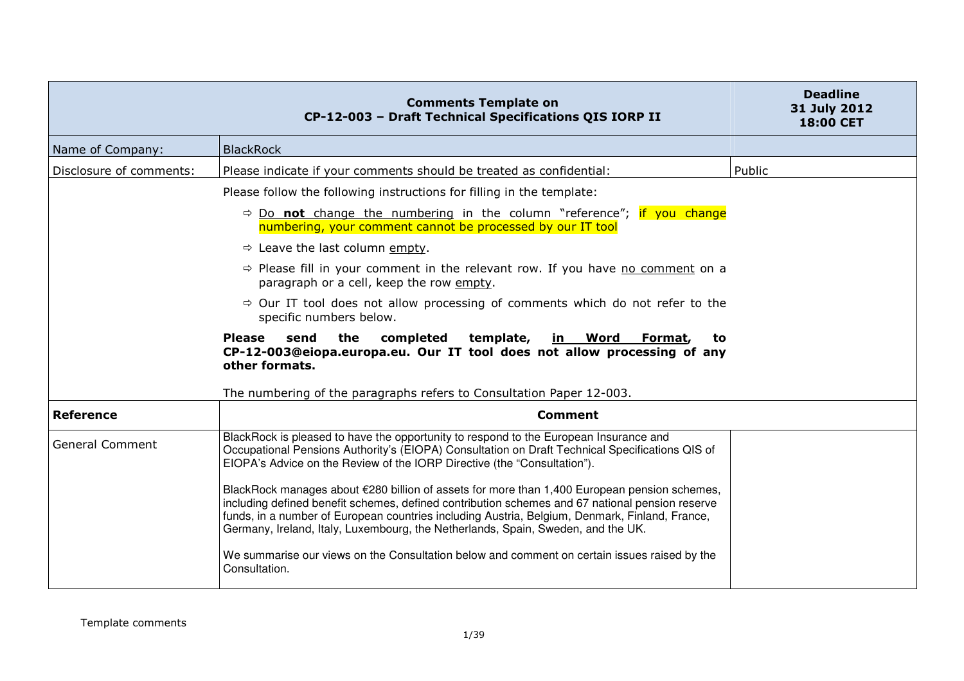|                         | <b>Comments Template on</b><br>CP-12-003 - Draft Technical Specifications QIS IORP II                                                                                                                                                                                                                                                                                                                                                                                                                                                                                                                                                                                                                                                                                          | <b>Deadline</b><br>31 July 2012<br><b>18:00 CET</b> |
|-------------------------|--------------------------------------------------------------------------------------------------------------------------------------------------------------------------------------------------------------------------------------------------------------------------------------------------------------------------------------------------------------------------------------------------------------------------------------------------------------------------------------------------------------------------------------------------------------------------------------------------------------------------------------------------------------------------------------------------------------------------------------------------------------------------------|-----------------------------------------------------|
| Name of Company:        | <b>BlackRock</b>                                                                                                                                                                                                                                                                                                                                                                                                                                                                                                                                                                                                                                                                                                                                                               |                                                     |
| Disclosure of comments: | Please indicate if your comments should be treated as confidential:                                                                                                                                                                                                                                                                                                                                                                                                                                                                                                                                                                                                                                                                                                            | Public                                              |
|                         | Please follow the following instructions for filling in the template:                                                                                                                                                                                                                                                                                                                                                                                                                                                                                                                                                                                                                                                                                                          |                                                     |
|                         | $\Rightarrow$ Do not change the numbering in the column "reference"; if you change<br>numbering, your comment cannot be processed by our IT tool                                                                                                                                                                                                                                                                                                                                                                                                                                                                                                                                                                                                                               |                                                     |
|                         | $\Rightarrow$ Leave the last column empty.                                                                                                                                                                                                                                                                                                                                                                                                                                                                                                                                                                                                                                                                                                                                     |                                                     |
|                         | $\Rightarrow$ Please fill in your comment in the relevant row. If you have no comment on a<br>paragraph or a cell, keep the row empty.                                                                                                                                                                                                                                                                                                                                                                                                                                                                                                                                                                                                                                         |                                                     |
|                         | $\Rightarrow$ Our IT tool does not allow processing of comments which do not refer to the<br>specific numbers below.                                                                                                                                                                                                                                                                                                                                                                                                                                                                                                                                                                                                                                                           |                                                     |
|                         | the<br><b>Please</b><br>send<br>completed<br>template,<br>in Word<br>Format,<br>to<br>CP-12-003@eiopa.europa.eu. Our IT tool does not allow processing of any<br>other formats.                                                                                                                                                                                                                                                                                                                                                                                                                                                                                                                                                                                                |                                                     |
|                         | The numbering of the paragraphs refers to Consultation Paper 12-003.                                                                                                                                                                                                                                                                                                                                                                                                                                                                                                                                                                                                                                                                                                           |                                                     |
| <b>Reference</b>        | <b>Comment</b>                                                                                                                                                                                                                                                                                                                                                                                                                                                                                                                                                                                                                                                                                                                                                                 |                                                     |
| <b>General Comment</b>  | BlackRock is pleased to have the opportunity to respond to the European Insurance and<br>Occupational Pensions Authority's (EIOPA) Consultation on Draft Technical Specifications QIS of<br>EIOPA's Advice on the Review of the IORP Directive (the "Consultation").<br>BlackRock manages about €280 billion of assets for more than 1,400 European pension schemes,<br>including defined benefit schemes, defined contribution schemes and 67 national pension reserve<br>funds, in a number of European countries including Austria, Belgium, Denmark, Finland, France,<br>Germany, Ireland, Italy, Luxembourg, the Netherlands, Spain, Sweden, and the UK.<br>We summarise our views on the Consultation below and comment on certain issues raised by the<br>Consultation. |                                                     |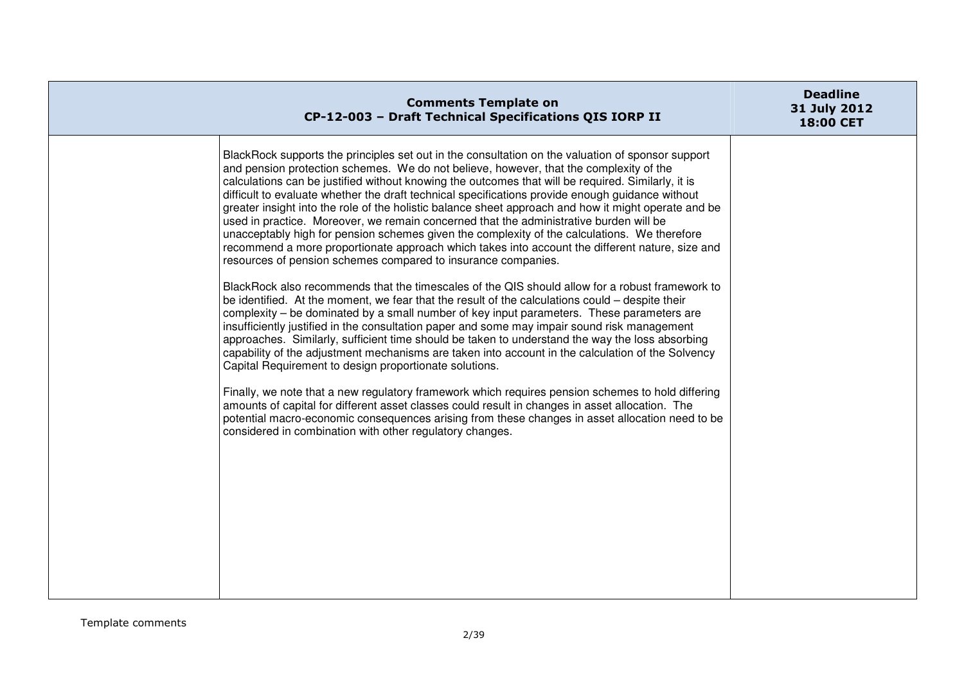| <b>Comments Template on</b><br>CP-12-003 - Draft Technical Specifications QIS IORP II                                                                                                                                                                                                                                                                                                                                                                                                                                                                                                                                                                                                                                                                                                                                                                                       | <b>Deadline</b><br>31 July 2012<br><b>18:00 CET</b> |
|-----------------------------------------------------------------------------------------------------------------------------------------------------------------------------------------------------------------------------------------------------------------------------------------------------------------------------------------------------------------------------------------------------------------------------------------------------------------------------------------------------------------------------------------------------------------------------------------------------------------------------------------------------------------------------------------------------------------------------------------------------------------------------------------------------------------------------------------------------------------------------|-----------------------------------------------------|
| BlackRock supports the principles set out in the consultation on the valuation of sponsor support<br>and pension protection schemes. We do not believe, however, that the complexity of the<br>calculations can be justified without knowing the outcomes that will be required. Similarly, it is<br>difficult to evaluate whether the draft technical specifications provide enough guidance without<br>greater insight into the role of the holistic balance sheet approach and how it might operate and be<br>used in practice. Moreover, we remain concerned that the administrative burden will be<br>unacceptably high for pension schemes given the complexity of the calculations. We therefore<br>recommend a more proportionate approach which takes into account the different nature, size and<br>resources of pension schemes compared to insurance companies. |                                                     |
| BlackRock also recommends that the timescales of the QIS should allow for a robust framework to<br>be identified. At the moment, we fear that the result of the calculations could – despite their<br>complexity – be dominated by a small number of key input parameters. These parameters are<br>insufficiently justified in the consultation paper and some may impair sound risk management<br>approaches. Similarly, sufficient time should be taken to understand the way the loss absorbing<br>capability of the adjustment mechanisms are taken into account in the calculation of the Solvency<br>Capital Requirement to design proportionate solutions.                                                                                                                                                                                                           |                                                     |
| Finally, we note that a new regulatory framework which requires pension schemes to hold differing<br>amounts of capital for different asset classes could result in changes in asset allocation. The<br>potential macro-economic consequences arising from these changes in asset allocation need to be<br>considered in combination with other regulatory changes.                                                                                                                                                                                                                                                                                                                                                                                                                                                                                                         |                                                     |
|                                                                                                                                                                                                                                                                                                                                                                                                                                                                                                                                                                                                                                                                                                                                                                                                                                                                             |                                                     |
|                                                                                                                                                                                                                                                                                                                                                                                                                                                                                                                                                                                                                                                                                                                                                                                                                                                                             |                                                     |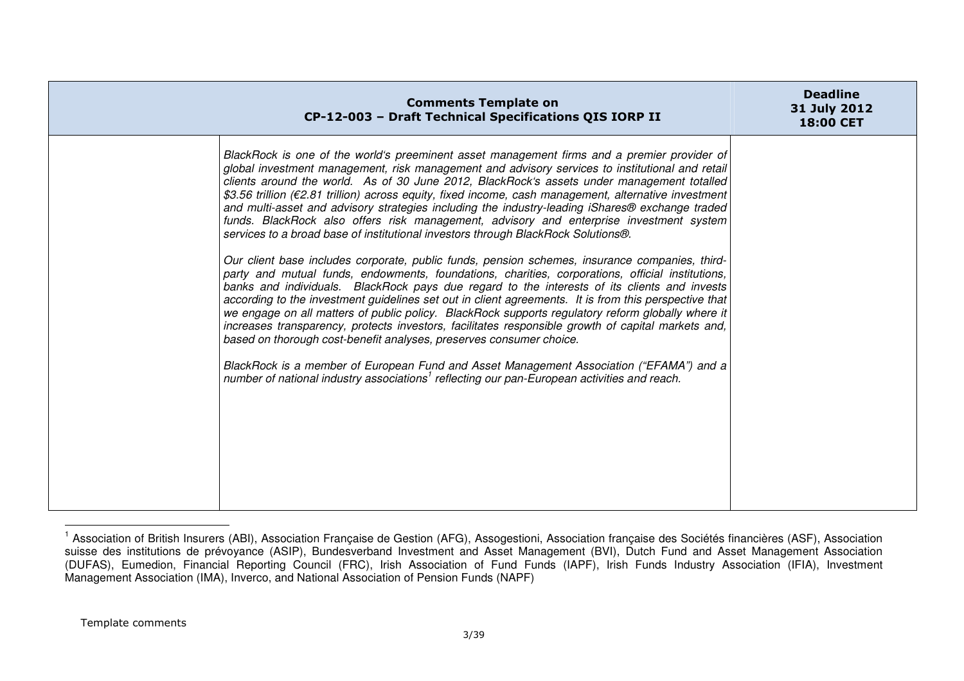| <b>Comments Template on</b><br>CP-12-003 - Draft Technical Specifications QIS IORP II                                                                                                                                                                                                                                                                                                                                                                                                                                                                                                                                                                                                                                                                                                                                                                                                                                                                                                                                                                                                                                                                                                                                                                                                                                                                                                                                                                                                                                                                                                                      | <b>Deadline</b><br>31 July 2012<br>18:00 CET |
|------------------------------------------------------------------------------------------------------------------------------------------------------------------------------------------------------------------------------------------------------------------------------------------------------------------------------------------------------------------------------------------------------------------------------------------------------------------------------------------------------------------------------------------------------------------------------------------------------------------------------------------------------------------------------------------------------------------------------------------------------------------------------------------------------------------------------------------------------------------------------------------------------------------------------------------------------------------------------------------------------------------------------------------------------------------------------------------------------------------------------------------------------------------------------------------------------------------------------------------------------------------------------------------------------------------------------------------------------------------------------------------------------------------------------------------------------------------------------------------------------------------------------------------------------------------------------------------------------------|----------------------------------------------|
| BlackRock is one of the world's preeminent asset management firms and a premier provider of<br>global investment management, risk management and advisory services to institutional and retail<br>clients around the world. As of 30 June 2012, BlackRock's assets under management totalled<br>\$3.56 trillion ( $\epsilon$ 2.81 trillion) across equity, fixed income, cash management, alternative investment<br>and multi-asset and advisory strategies including the industry-leading iShares® exchange traded<br>funds. BlackRock also offers risk management, advisory and enterprise investment system<br>services to a broad base of institutional investors through BlackRock Solutions®.<br>Our client base includes corporate, public funds, pension schemes, insurance companies, third-<br>party and mutual funds, endowments, foundations, charities, corporations, official institutions,<br>banks and individuals. BlackRock pays due regard to the interests of its clients and invests<br>according to the investment guidelines set out in client agreements. It is from this perspective that<br>we engage on all matters of public policy. BlackRock supports regulatory reform globally where it<br>increases transparency, protects investors, facilitates responsible growth of capital markets and,<br>based on thorough cost-benefit analyses, preserves consumer choice.<br>BlackRock is a member of European Fund and Asset Management Association ("EFAMA") and a<br>number of national industry associations <sup>1</sup> reflecting our pan-European activities and reach. |                                              |

<sup>&</sup>lt;sup>1</sup> Association of British Insurers (ABI), Association Française de Gestion (AFG), Assogestioni, Association française des Sociétés financières (ASF), Association suisse des institutions de prévoyance (ASIP), Bundesverband Investment and Asset Management (BVI), Dutch Fund and Asset Management Association (DUFAS), Eumedion, Financial Reporting Council (FRC), Irish Association of Fund Funds (IAPF), Irish Funds Industry Association (IFIA), Investment<br>Management Association (IMA), Inverco, and National Association of Pension F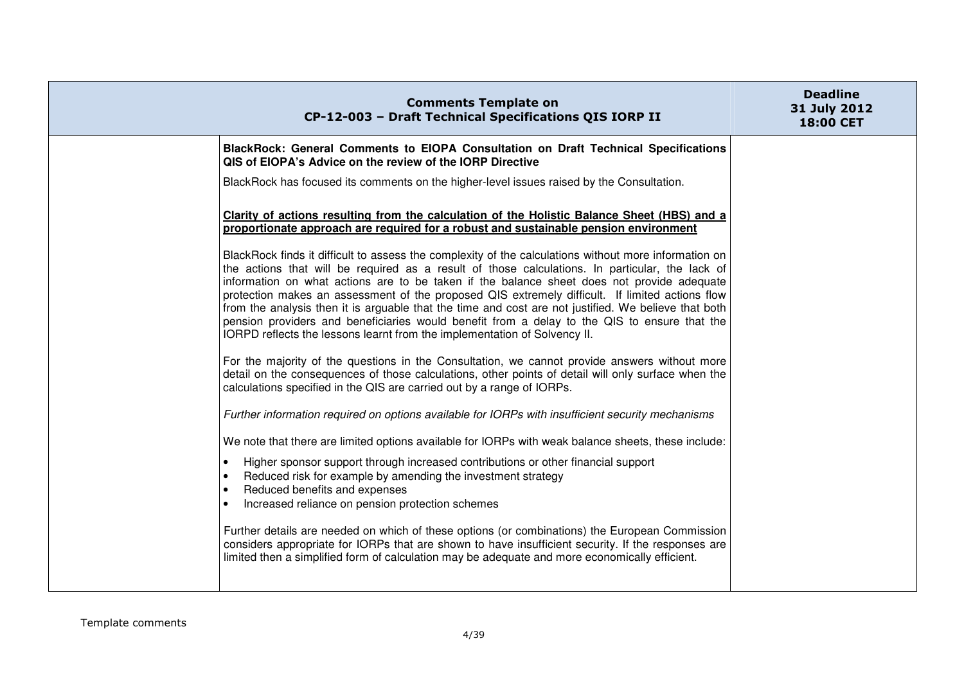| <b>Comments Template on</b><br>CP-12-003 - Draft Technical Specifications QIS IORP II                                                                                                                                                                                                                                                                                                                                                                                                                                                                                                                                                                                                                                                                                                                                                                                                                                                                                            | <b>Deadline</b><br>31 July 2012<br>18:00 CET |
|----------------------------------------------------------------------------------------------------------------------------------------------------------------------------------------------------------------------------------------------------------------------------------------------------------------------------------------------------------------------------------------------------------------------------------------------------------------------------------------------------------------------------------------------------------------------------------------------------------------------------------------------------------------------------------------------------------------------------------------------------------------------------------------------------------------------------------------------------------------------------------------------------------------------------------------------------------------------------------|----------------------------------------------|
| BlackRock: General Comments to EIOPA Consultation on Draft Technical Specifications<br>QIS of EIOPA's Advice on the review of the IORP Directive                                                                                                                                                                                                                                                                                                                                                                                                                                                                                                                                                                                                                                                                                                                                                                                                                                 |                                              |
| BlackRock has focused its comments on the higher-level issues raised by the Consultation.                                                                                                                                                                                                                                                                                                                                                                                                                                                                                                                                                                                                                                                                                                                                                                                                                                                                                        |                                              |
| Clarity of actions resulting from the calculation of the Holistic Balance Sheet (HBS) and a<br>proportionate approach are required for a robust and sustainable pension environment                                                                                                                                                                                                                                                                                                                                                                                                                                                                                                                                                                                                                                                                                                                                                                                              |                                              |
| BlackRock finds it difficult to assess the complexity of the calculations without more information on<br>the actions that will be required as a result of those calculations. In particular, the lack of<br>information on what actions are to be taken if the balance sheet does not provide adequate<br>protection makes an assessment of the proposed QIS extremely difficult. If limited actions flow<br>from the analysis then it is arguable that the time and cost are not justified. We believe that both<br>pension providers and beneficiaries would benefit from a delay to the QIS to ensure that the<br>IORPD reflects the lessons learnt from the implementation of Solvency II.<br>For the majority of the questions in the Consultation, we cannot provide answers without more<br>detail on the consequences of those calculations, other points of detail will only surface when the<br>calculations specified in the QIS are carried out by a range of IORPs. |                                              |
| Further information required on options available for IORPs with insufficient security mechanisms                                                                                                                                                                                                                                                                                                                                                                                                                                                                                                                                                                                                                                                                                                                                                                                                                                                                                |                                              |
| We note that there are limited options available for IORPs with weak balance sheets, these include:                                                                                                                                                                                                                                                                                                                                                                                                                                                                                                                                                                                                                                                                                                                                                                                                                                                                              |                                              |
| Higher sponsor support through increased contributions or other financial support<br>$\bullet$<br>Reduced risk for example by amending the investment strategy<br>$\bullet$<br>Reduced benefits and expenses<br>$\bullet$<br>Increased reliance on pension protection schemes                                                                                                                                                                                                                                                                                                                                                                                                                                                                                                                                                                                                                                                                                                    |                                              |
| Further details are needed on which of these options (or combinations) the European Commission<br>considers appropriate for IORPs that are shown to have insufficient security. If the responses are<br>limited then a simplified form of calculation may be adequate and more economically efficient.                                                                                                                                                                                                                                                                                                                                                                                                                                                                                                                                                                                                                                                                           |                                              |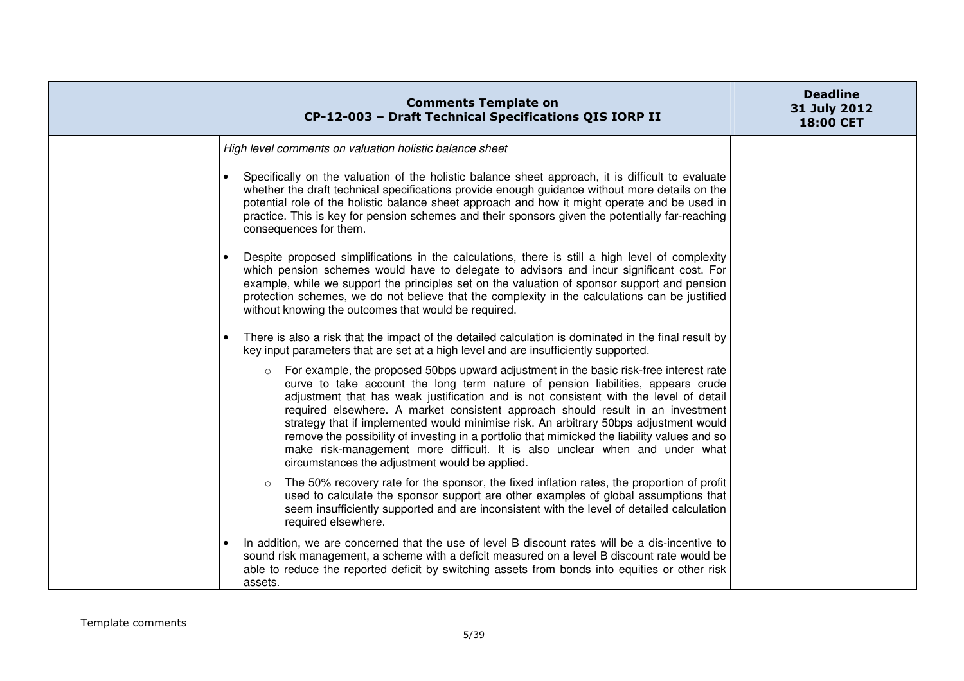| <b>Comments Template on</b><br>CP-12-003 - Draft Technical Specifications QIS IORP II                                                                                                                                                                                                                                                                                                                                                                                                                                                                                                                                                                                                       | <b>Deadline</b><br>31 July 2012<br><b>18:00 CET</b> |
|---------------------------------------------------------------------------------------------------------------------------------------------------------------------------------------------------------------------------------------------------------------------------------------------------------------------------------------------------------------------------------------------------------------------------------------------------------------------------------------------------------------------------------------------------------------------------------------------------------------------------------------------------------------------------------------------|-----------------------------------------------------|
| High level comments on valuation holistic balance sheet                                                                                                                                                                                                                                                                                                                                                                                                                                                                                                                                                                                                                                     |                                                     |
| Specifically on the valuation of the holistic balance sheet approach, it is difficult to evaluate<br>whether the draft technical specifications provide enough guidance without more details on the<br>potential role of the holistic balance sheet approach and how it might operate and be used in<br>practice. This is key for pension schemes and their sponsors given the potentially far-reaching<br>consequences for them.                                                                                                                                                                                                                                                           |                                                     |
| Despite proposed simplifications in the calculations, there is still a high level of complexity<br>which pension schemes would have to delegate to advisors and incur significant cost. For<br>example, while we support the principles set on the valuation of sponsor support and pension<br>protection schemes, we do not believe that the complexity in the calculations can be justified<br>without knowing the outcomes that would be required.                                                                                                                                                                                                                                       |                                                     |
| There is also a risk that the impact of the detailed calculation is dominated in the final result by<br>key input parameters that are set at a high level and are insufficiently supported.                                                                                                                                                                                                                                                                                                                                                                                                                                                                                                 |                                                     |
| For example, the proposed 50bps upward adjustment in the basic risk-free interest rate<br>$\circ$<br>curve to take account the long term nature of pension liabilities, appears crude<br>adjustment that has weak justification and is not consistent with the level of detail<br>required elsewhere. A market consistent approach should result in an investment<br>strategy that if implemented would minimise risk. An arbitrary 50bps adjustment would<br>remove the possibility of investing in a portfolio that mimicked the liability values and so<br>make risk-management more difficult. It is also unclear when and under what<br>circumstances the adjustment would be applied. |                                                     |
| The 50% recovery rate for the sponsor, the fixed inflation rates, the proportion of profit<br>$\circ$<br>used to calculate the sponsor support are other examples of global assumptions that<br>seem insufficiently supported and are inconsistent with the level of detailed calculation<br>required elsewhere.                                                                                                                                                                                                                                                                                                                                                                            |                                                     |
| In addition, we are concerned that the use of level B discount rates will be a dis-incentive to<br>sound risk management, a scheme with a deficit measured on a level B discount rate would be<br>able to reduce the reported deficit by switching assets from bonds into equities or other risk<br>assets.                                                                                                                                                                                                                                                                                                                                                                                 |                                                     |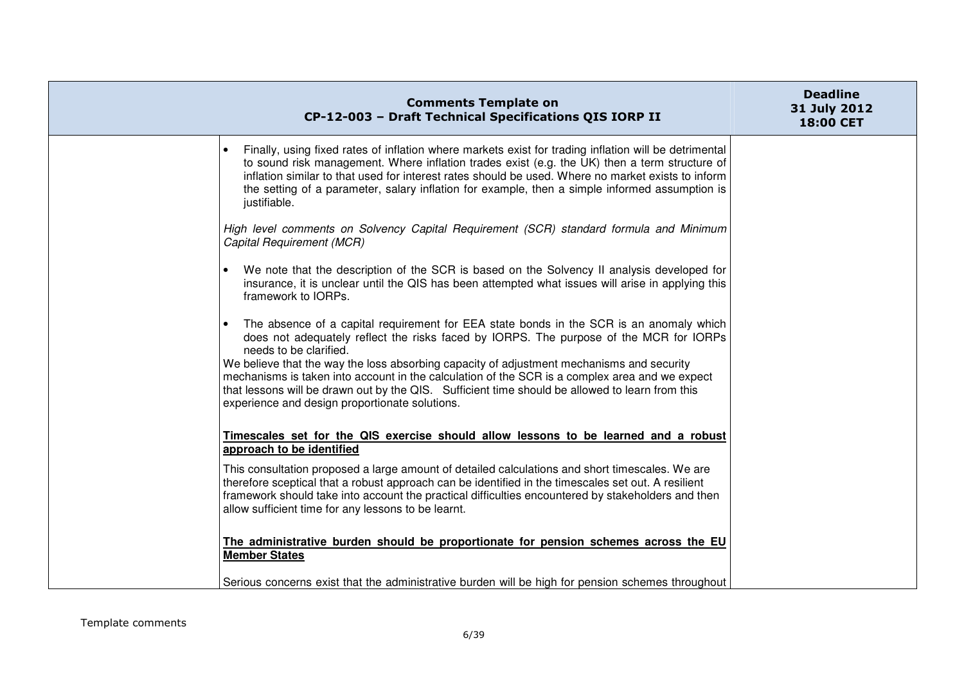| <b>Comments Template on</b><br>CP-12-003 - Draft Technical Specifications QIS IORP II                                                                                                                                                                                                                                                                                                                                                                                                                                                                           | <b>Deadline</b><br>31 July 2012<br>18:00 CET |
|-----------------------------------------------------------------------------------------------------------------------------------------------------------------------------------------------------------------------------------------------------------------------------------------------------------------------------------------------------------------------------------------------------------------------------------------------------------------------------------------------------------------------------------------------------------------|----------------------------------------------|
| Finally, using fixed rates of inflation where markets exist for trading inflation will be detrimental<br>to sound risk management. Where inflation trades exist (e.g. the UK) then a term structure of<br>inflation similar to that used for interest rates should be used. Where no market exists to inform<br>the setting of a parameter, salary inflation for example, then a simple informed assumption is<br>justifiable.                                                                                                                                  |                                              |
| High level comments on Solvency Capital Requirement (SCR) standard formula and Minimum<br>Capital Requirement (MCR)                                                                                                                                                                                                                                                                                                                                                                                                                                             |                                              |
| We note that the description of the SCR is based on the Solvency II analysis developed for<br>insurance, it is unclear until the QIS has been attempted what issues will arise in applying this<br>framework to IORPs.                                                                                                                                                                                                                                                                                                                                          |                                              |
| The absence of a capital requirement for EEA state bonds in the SCR is an anomaly which<br>does not adequately reflect the risks faced by IORPS. The purpose of the MCR for IORPs<br>needs to be clarified.<br>We believe that the way the loss absorbing capacity of adjustment mechanisms and security<br>mechanisms is taken into account in the calculation of the SCR is a complex area and we expect<br>that lessons will be drawn out by the QIS. Sufficient time should be allowed to learn from this<br>experience and design proportionate solutions. |                                              |
| Timescales set for the QIS exercise should allow lessons to be learned and a robust<br>approach to be identified                                                                                                                                                                                                                                                                                                                                                                                                                                                |                                              |
| This consultation proposed a large amount of detailed calculations and short timescales. We are<br>therefore sceptical that a robust approach can be identified in the timescales set out. A resilient<br>framework should take into account the practical difficulties encountered by stakeholders and then<br>allow sufficient time for any lessons to be learnt.                                                                                                                                                                                             |                                              |
| The administrative burden should be proportionate for pension schemes across the EU<br><b>Member States</b>                                                                                                                                                                                                                                                                                                                                                                                                                                                     |                                              |
| Serious concerns exist that the administrative burden will be high for pension schemes throughout                                                                                                                                                                                                                                                                                                                                                                                                                                                               |                                              |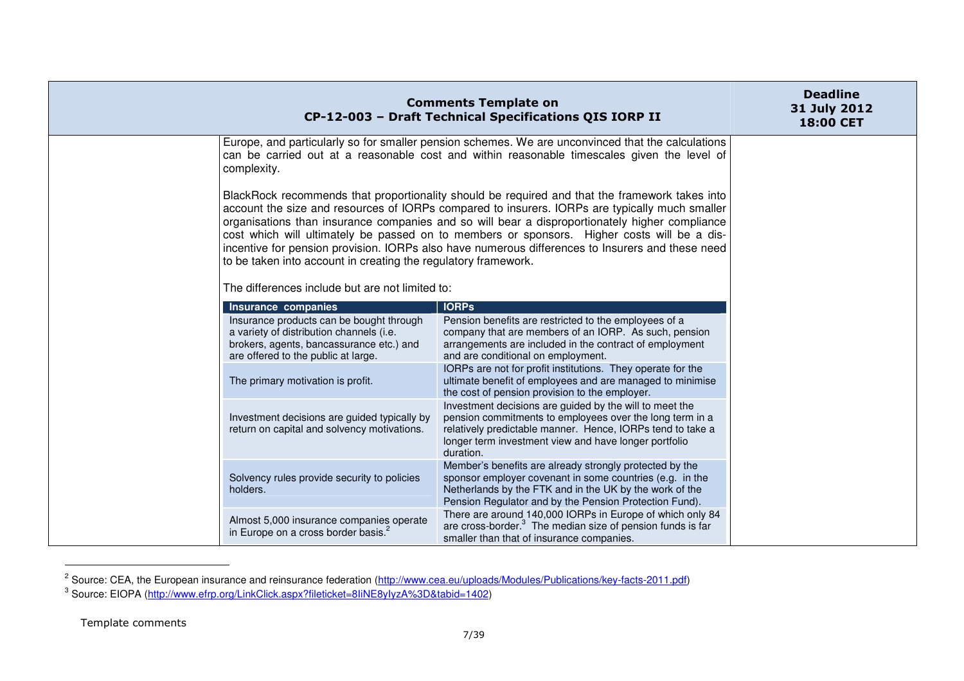|                                                                                                                                                                                                | <b>Comments Template on</b><br>CP-12-003 - Draft Technical Specifications QIS IORP II                                                                                                                                                                                                                                                                                                                                                                                                                 | <b>Deadline</b><br>31 July 2012<br><b>18:00 CET</b> |
|------------------------------------------------------------------------------------------------------------------------------------------------------------------------------------------------|-------------------------------------------------------------------------------------------------------------------------------------------------------------------------------------------------------------------------------------------------------------------------------------------------------------------------------------------------------------------------------------------------------------------------------------------------------------------------------------------------------|-----------------------------------------------------|
| complexity.                                                                                                                                                                                    | Europe, and particularly so for smaller pension schemes. We are unconvinced that the calculations<br>can be carried out at a reasonable cost and within reasonable timescales given the level of                                                                                                                                                                                                                                                                                                      |                                                     |
| to be taken into account in creating the regulatory framework.                                                                                                                                 | BlackRock recommends that proportionality should be required and that the framework takes into<br>account the size and resources of IORPs compared to insurers. IORPs are typically much smaller<br>organisations than insurance companies and so will bear a disproportionately higher compliance<br>cost which will ultimately be passed on to members or sponsors. Higher costs will be a dis-<br>incentive for pension provision. IORPs also have numerous differences to Insurers and these need |                                                     |
| The differences include but are not limited to:                                                                                                                                                |                                                                                                                                                                                                                                                                                                                                                                                                                                                                                                       |                                                     |
| Insurance companies<br>Insurance products can be bought through<br>a variety of distribution channels (i.e.<br>brokers, agents, bancassurance etc.) and<br>are offered to the public at large. | <b>IORPs</b><br>Pension benefits are restricted to the employees of a<br>company that are members of an IORP. As such, pension<br>arrangements are included in the contract of employment<br>and are conditional on employment.                                                                                                                                                                                                                                                                       |                                                     |
| The primary motivation is profit.                                                                                                                                                              | IORPs are not for profit institutions. They operate for the<br>ultimate benefit of employees and are managed to minimise<br>the cost of pension provision to the employer.                                                                                                                                                                                                                                                                                                                            |                                                     |
| Investment decisions are guided typically by<br>return on capital and solvency motivations.                                                                                                    | Investment decisions are guided by the will to meet the<br>pension commitments to employees over the long term in a<br>relatively predictable manner. Hence, IORPs tend to take a<br>longer term investment view and have longer portfolio<br>duration.                                                                                                                                                                                                                                               |                                                     |
| Solvency rules provide security to policies<br>holders.                                                                                                                                        | Member's benefits are already strongly protected by the<br>sponsor employer covenant in some countries (e.g. in the<br>Netherlands by the FTK and in the UK by the work of the<br>Pension Regulator and by the Pension Protection Fund).                                                                                                                                                                                                                                                              |                                                     |
| Almost 5,000 insurance companies operate<br>in Europe on a cross border basis. <sup>2</sup>                                                                                                    | There are around 140,000 IORPs in Europe of which only 84<br>are cross-border. $3$ The median size of pension funds is far<br>smaller than that of insurance companies.                                                                                                                                                                                                                                                                                                                               |                                                     |

<sup>&</sup>lt;sup>2</sup> Source: CEA, the European insurance and reinsurance federation (<u>http://www.cea.eu/uploads/Modules/Publications/key-facts-2011.pdf)</u><br><sup>3</sup> Source: EIOPA (<u>http://www.efrp.org/LinkClick.aspx?fileticket=8IiNE8yIyzA%3D&tabi</u>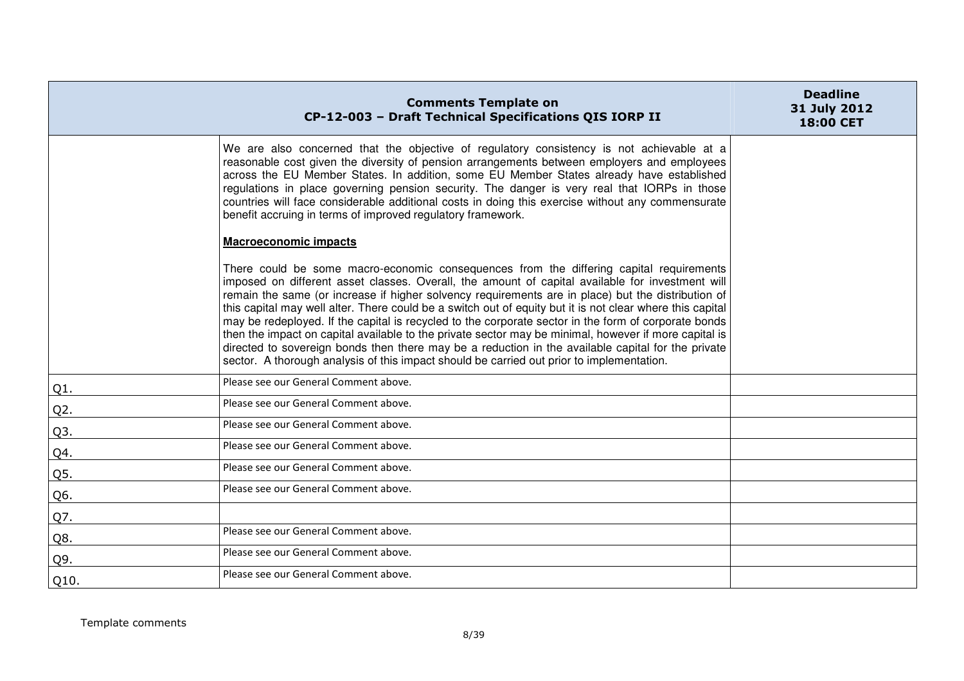|        | <b>Comments Template on</b><br>CP-12-003 - Draft Technical Specifications QIS IORP II                                                                                                                                                                                                                                                                                                                                                                                                                                                                                                                                                                                                                                                                                                                                              | <b>Deadline</b><br>31 July 2012<br>18:00 CET |
|--------|------------------------------------------------------------------------------------------------------------------------------------------------------------------------------------------------------------------------------------------------------------------------------------------------------------------------------------------------------------------------------------------------------------------------------------------------------------------------------------------------------------------------------------------------------------------------------------------------------------------------------------------------------------------------------------------------------------------------------------------------------------------------------------------------------------------------------------|----------------------------------------------|
|        | We are also concerned that the objective of regulatory consistency is not achievable at a<br>reasonable cost given the diversity of pension arrangements between employers and employees<br>across the EU Member States. In addition, some EU Member States already have established<br>regulations in place governing pension security. The danger is very real that IORPs in those<br>countries will face considerable additional costs in doing this exercise without any commensurate<br>benefit accruing in terms of improved regulatory framework.                                                                                                                                                                                                                                                                           |                                              |
|        | <b>Macroeconomic impacts</b>                                                                                                                                                                                                                                                                                                                                                                                                                                                                                                                                                                                                                                                                                                                                                                                                       |                                              |
|        | There could be some macro-economic consequences from the differing capital requirements<br>imposed on different asset classes. Overall, the amount of capital available for investment will<br>remain the same (or increase if higher solvency requirements are in place) but the distribution of<br>this capital may well alter. There could be a switch out of equity but it is not clear where this capital<br>may be redeployed. If the capital is recycled to the corporate sector in the form of corporate bonds<br>then the impact on capital available to the private sector may be minimal, however if more capital is<br>directed to sovereign bonds then there may be a reduction in the available capital for the private<br>sector. A thorough analysis of this impact should be carried out prior to implementation. |                                              |
| $Q1$ . | Please see our General Comment above.                                                                                                                                                                                                                                                                                                                                                                                                                                                                                                                                                                                                                                                                                                                                                                                              |                                              |
| Q2.    | Please see our General Comment above.                                                                                                                                                                                                                                                                                                                                                                                                                                                                                                                                                                                                                                                                                                                                                                                              |                                              |
| Q3.    | Please see our General Comment above.                                                                                                                                                                                                                                                                                                                                                                                                                                                                                                                                                                                                                                                                                                                                                                                              |                                              |
| Q4.    | Please see our General Comment above.                                                                                                                                                                                                                                                                                                                                                                                                                                                                                                                                                                                                                                                                                                                                                                                              |                                              |
| Q5.    | Please see our General Comment above.                                                                                                                                                                                                                                                                                                                                                                                                                                                                                                                                                                                                                                                                                                                                                                                              |                                              |
| Q6.    | Please see our General Comment above.                                                                                                                                                                                                                                                                                                                                                                                                                                                                                                                                                                                                                                                                                                                                                                                              |                                              |
| Q7.    |                                                                                                                                                                                                                                                                                                                                                                                                                                                                                                                                                                                                                                                                                                                                                                                                                                    |                                              |
| Q8.    | Please see our General Comment above.                                                                                                                                                                                                                                                                                                                                                                                                                                                                                                                                                                                                                                                                                                                                                                                              |                                              |
| Q9.    | Please see our General Comment above.                                                                                                                                                                                                                                                                                                                                                                                                                                                                                                                                                                                                                                                                                                                                                                                              |                                              |
| Q10.   | Please see our General Comment above.                                                                                                                                                                                                                                                                                                                                                                                                                                                                                                                                                                                                                                                                                                                                                                                              |                                              |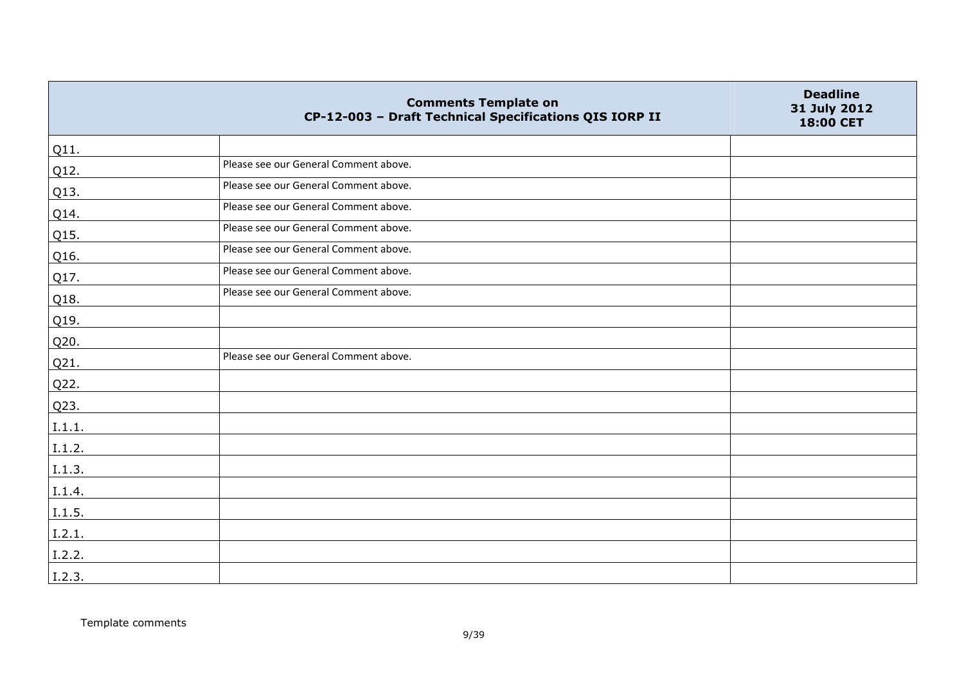|                 | <b>Comments Template on</b><br>CP-12-003 - Draft Technical Specifications QIS IORP II | <b>Deadline</b><br>31 July 2012<br>18:00 CET |
|-----------------|---------------------------------------------------------------------------------------|----------------------------------------------|
| Q11.            |                                                                                       |                                              |
| Q12.            | Please see our General Comment above.                                                 |                                              |
| Q13.            | Please see our General Comment above.                                                 |                                              |
| Q14.            | Please see our General Comment above.                                                 |                                              |
| Q15.            | Please see our General Comment above.                                                 |                                              |
| Q16.            | Please see our General Comment above.                                                 |                                              |
| Q17.            | Please see our General Comment above.                                                 |                                              |
| Q18.            | Please see our General Comment above.                                                 |                                              |
| Q <sub>19</sub> |                                                                                       |                                              |
| Q20.            |                                                                                       |                                              |
| Q21.            | Please see our General Comment above.                                                 |                                              |
| Q22.            |                                                                                       |                                              |
| Q23.            |                                                                                       |                                              |
| I.1.1.          |                                                                                       |                                              |
| I.1.2.          |                                                                                       |                                              |
| I.1.3.          |                                                                                       |                                              |
| I.1.4.          |                                                                                       |                                              |
| I.1.5.          |                                                                                       |                                              |
| I.2.1.          |                                                                                       |                                              |
| I.2.2.          |                                                                                       |                                              |
| I.2.3.          |                                                                                       |                                              |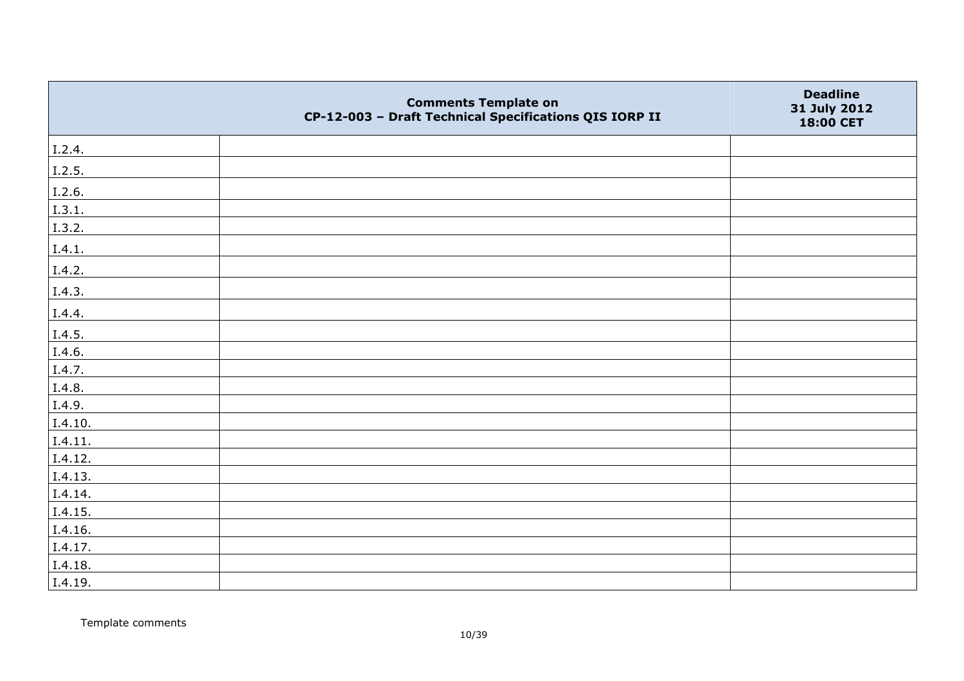|         | <b>Comments Template on</b><br>CP-12-003 - Draft Technical Specifications QIS IORP II | <b>Deadline</b><br>31 July 2012<br>18:00 CET |
|---------|---------------------------------------------------------------------------------------|----------------------------------------------|
| I.2.4.  |                                                                                       |                                              |
| I.2.5.  |                                                                                       |                                              |
| I.2.6.  |                                                                                       |                                              |
| I.3.1.  |                                                                                       |                                              |
| I.3.2.  |                                                                                       |                                              |
| I.4.1.  |                                                                                       |                                              |
| I.4.2.  |                                                                                       |                                              |
| I.4.3.  |                                                                                       |                                              |
| I.4.4.  |                                                                                       |                                              |
| I.4.5.  |                                                                                       |                                              |
| I.4.6.  |                                                                                       |                                              |
| I.4.7.  |                                                                                       |                                              |
| I.4.8.  |                                                                                       |                                              |
| I.4.9.  |                                                                                       |                                              |
| I.4.10. |                                                                                       |                                              |
| I.4.11. |                                                                                       |                                              |
| I.4.12. |                                                                                       |                                              |
| I.4.13. |                                                                                       |                                              |
| I.4.14. |                                                                                       |                                              |
| I.4.15. |                                                                                       |                                              |
| I.4.16. |                                                                                       |                                              |
| I.4.17. |                                                                                       |                                              |
| I.4.18. |                                                                                       |                                              |
| I.4.19. |                                                                                       |                                              |

Template comments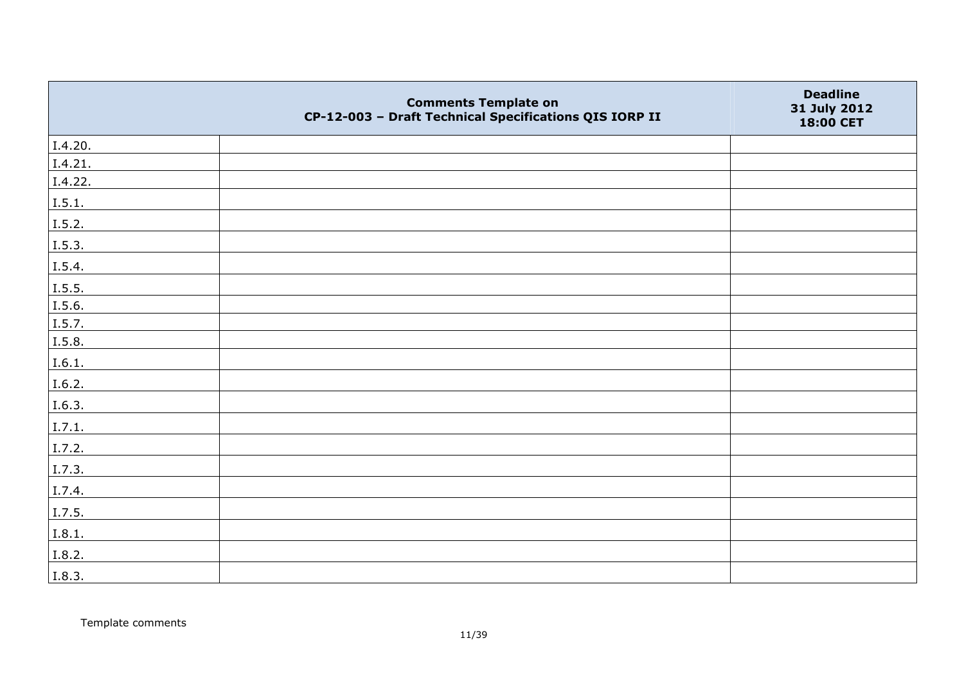|         | <b>Comments Template on</b><br>CP-12-003 - Draft Technical Specifications QIS IORP II | <b>Deadline</b><br>31 July 2012<br>18:00 CET |
|---------|---------------------------------------------------------------------------------------|----------------------------------------------|
| I.4.20. |                                                                                       |                                              |
| I.4.21. |                                                                                       |                                              |
| I.4.22. |                                                                                       |                                              |
| I.5.1.  |                                                                                       |                                              |
| 1.5.2.  |                                                                                       |                                              |
| I.5.3.  |                                                                                       |                                              |
| I.5.4.  |                                                                                       |                                              |
| I.5.5.  |                                                                                       |                                              |
| I.5.6.  |                                                                                       |                                              |
| I.5.7.  |                                                                                       |                                              |
| I.5.8.  |                                                                                       |                                              |
| I.6.1.  |                                                                                       |                                              |
| I.6.2.  |                                                                                       |                                              |
| I.6.3.  |                                                                                       |                                              |
| I.7.1.  |                                                                                       |                                              |
| I.7.2.  |                                                                                       |                                              |
| I.7.3.  |                                                                                       |                                              |
| I.7.4.  |                                                                                       |                                              |
| I.7.5.  |                                                                                       |                                              |
| I.8.1.  |                                                                                       |                                              |
| I.8.2.  |                                                                                       |                                              |
| I.8.3.  |                                                                                       |                                              |

Template comments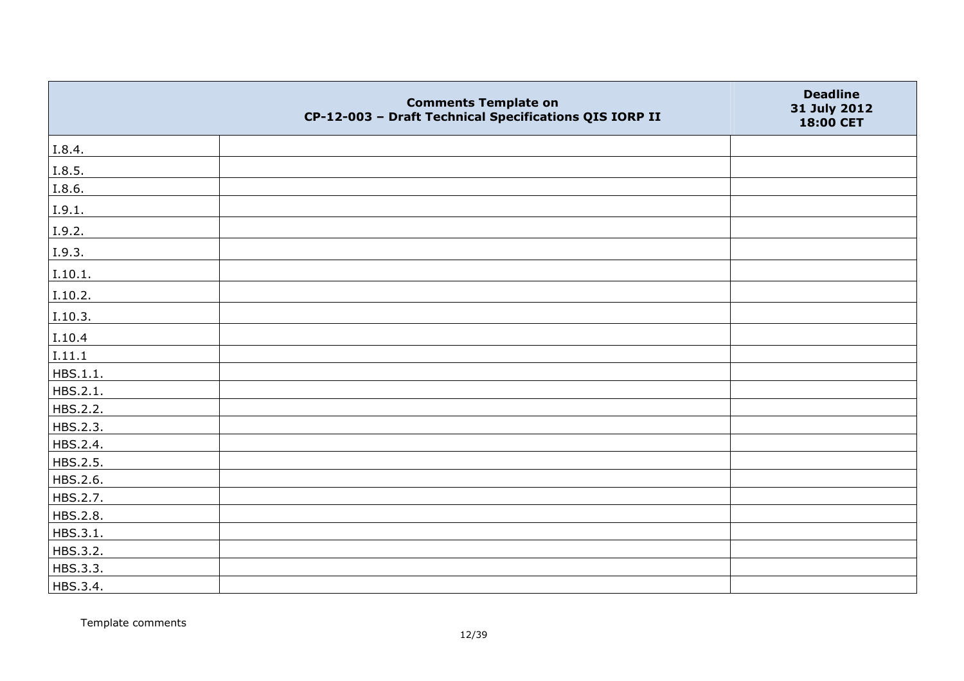|          | <b>Comments Template on</b><br>CP-12-003 - Draft Technical Specifications QIS IORP II | <b>Deadline</b><br>31 July 2012<br>18:00 CET |
|----------|---------------------------------------------------------------------------------------|----------------------------------------------|
| I.8.4.   |                                                                                       |                                              |
| I.8.5.   |                                                                                       |                                              |
| I.8.6.   |                                                                                       |                                              |
| I.9.1.   |                                                                                       |                                              |
| I.9.2.   |                                                                                       |                                              |
| I.9.3.   |                                                                                       |                                              |
| I.10.1.  |                                                                                       |                                              |
| I.10.2.  |                                                                                       |                                              |
| I.10.3.  |                                                                                       |                                              |
| I.10.4   |                                                                                       |                                              |
| I.11.1   |                                                                                       |                                              |
| HBS.1.1. |                                                                                       |                                              |
| HBS.2.1. |                                                                                       |                                              |
| HBS.2.2. |                                                                                       |                                              |
| HBS.2.3. |                                                                                       |                                              |
| HBS.2.4. |                                                                                       |                                              |
| HBS.2.5. |                                                                                       |                                              |
| HBS.2.6. |                                                                                       |                                              |
| HBS.2.7. |                                                                                       |                                              |
| HBS.2.8. |                                                                                       |                                              |
| HBS.3.1. |                                                                                       |                                              |
| HBS.3.2. |                                                                                       |                                              |
| HBS.3.3. |                                                                                       |                                              |
| HBS.3.4. |                                                                                       |                                              |

Template comments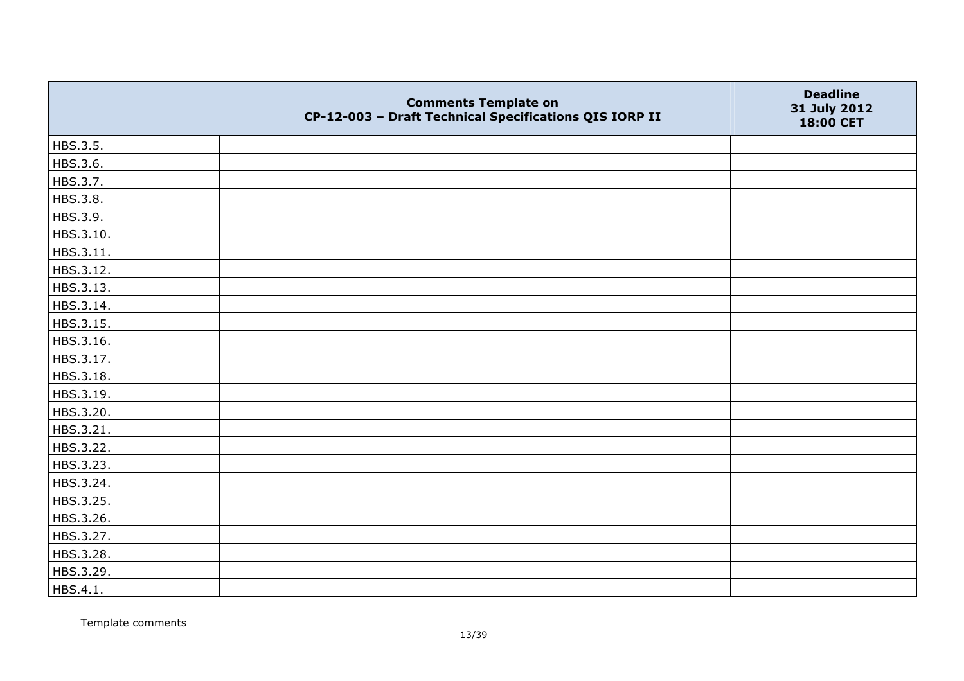|           | <b>Comments Template on</b><br>CP-12-003 - Draft Technical Specifications QIS IORP II | <b>Deadline</b><br>31 July 2012<br>18:00 CET |
|-----------|---------------------------------------------------------------------------------------|----------------------------------------------|
| HBS.3.5.  |                                                                                       |                                              |
| HBS.3.6.  |                                                                                       |                                              |
| HBS.3.7.  |                                                                                       |                                              |
| HBS.3.8.  |                                                                                       |                                              |
| HBS.3.9.  |                                                                                       |                                              |
| HBS.3.10. |                                                                                       |                                              |
| HBS.3.11. |                                                                                       |                                              |
| HBS.3.12. |                                                                                       |                                              |
| HBS.3.13. |                                                                                       |                                              |
| HBS.3.14. |                                                                                       |                                              |
| HBS.3.15. |                                                                                       |                                              |
| HBS.3.16. |                                                                                       |                                              |
| HBS.3.17. |                                                                                       |                                              |
| HBS.3.18. |                                                                                       |                                              |
| HBS.3.19. |                                                                                       |                                              |
| HBS.3.20. |                                                                                       |                                              |
| HBS.3.21. |                                                                                       |                                              |
| HBS.3.22. |                                                                                       |                                              |
| HBS.3.23. |                                                                                       |                                              |
| HBS.3.24. |                                                                                       |                                              |
| HBS.3.25. |                                                                                       |                                              |
| HBS.3.26. |                                                                                       |                                              |
| HBS.3.27. |                                                                                       |                                              |
| HBS.3.28. |                                                                                       |                                              |
| HBS.3.29. |                                                                                       |                                              |
| HBS.4.1.  |                                                                                       |                                              |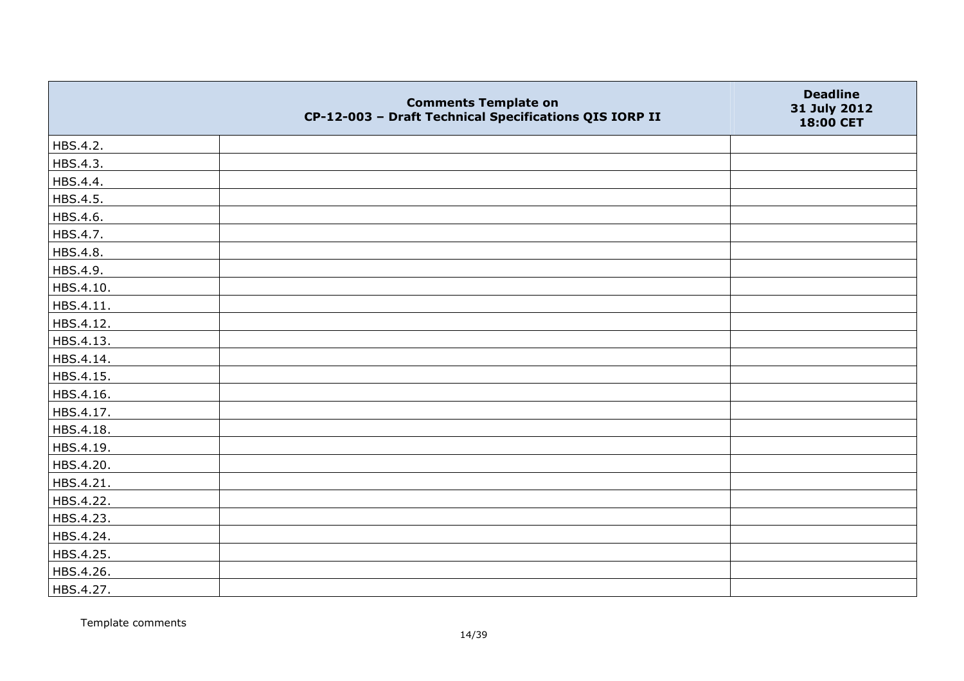|           | <b>Comments Template on</b><br>CP-12-003 - Draft Technical Specifications QIS IORP II | <b>Deadline</b><br>31 July 2012<br>18:00 CET |
|-----------|---------------------------------------------------------------------------------------|----------------------------------------------|
| HBS.4.2.  |                                                                                       |                                              |
| HBS.4.3.  |                                                                                       |                                              |
| HBS.4.4.  |                                                                                       |                                              |
| HBS.4.5.  |                                                                                       |                                              |
| HBS.4.6.  |                                                                                       |                                              |
| HBS.4.7.  |                                                                                       |                                              |
| HBS.4.8.  |                                                                                       |                                              |
| HBS.4.9.  |                                                                                       |                                              |
| HBS.4.10. |                                                                                       |                                              |
| HBS.4.11. |                                                                                       |                                              |
| HBS.4.12. |                                                                                       |                                              |
| HBS.4.13. |                                                                                       |                                              |
| HBS.4.14. |                                                                                       |                                              |
| HBS.4.15. |                                                                                       |                                              |
| HBS.4.16. |                                                                                       |                                              |
| HBS.4.17. |                                                                                       |                                              |
| HBS.4.18. |                                                                                       |                                              |
| HBS.4.19. |                                                                                       |                                              |
| HBS.4.20. |                                                                                       |                                              |
| HBS.4.21. |                                                                                       |                                              |
| HBS.4.22. |                                                                                       |                                              |
| HBS.4.23. |                                                                                       |                                              |
| HBS.4.24. |                                                                                       |                                              |
| HBS.4.25. |                                                                                       |                                              |
| HBS.4.26. |                                                                                       |                                              |
| HBS.4.27. |                                                                                       |                                              |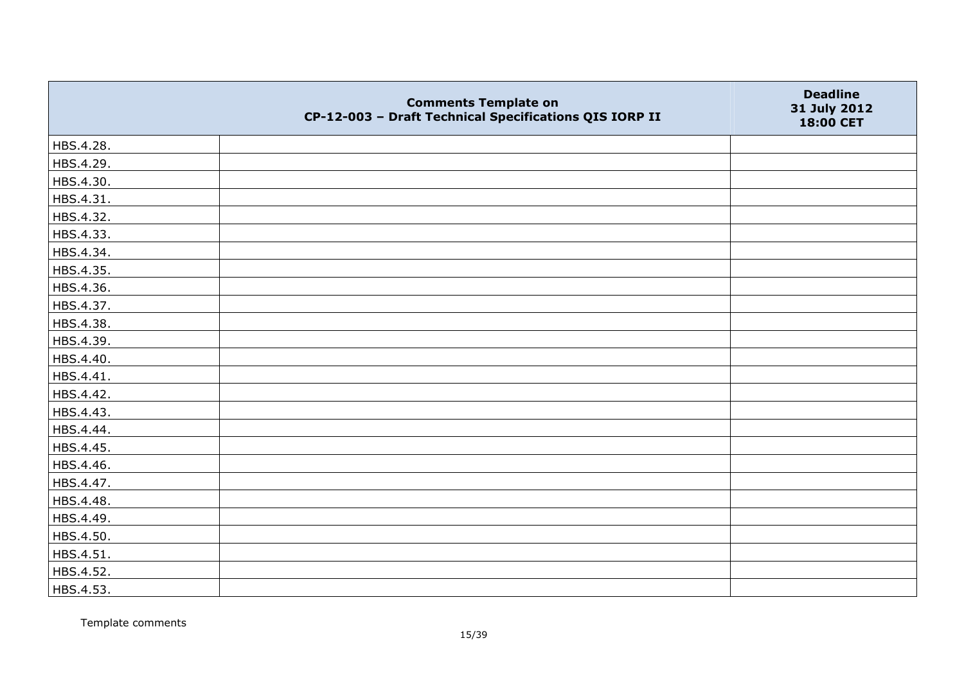|           | <b>Comments Template on</b><br>CP-12-003 - Draft Technical Specifications QIS IORP II | <b>Deadline</b><br>31 July 2012<br>18:00 CET |
|-----------|---------------------------------------------------------------------------------------|----------------------------------------------|
| HBS.4.28. |                                                                                       |                                              |
| HBS.4.29. |                                                                                       |                                              |
| HBS.4.30. |                                                                                       |                                              |
| HBS.4.31. |                                                                                       |                                              |
| HBS.4.32. |                                                                                       |                                              |
| HBS.4.33. |                                                                                       |                                              |
| HBS.4.34. |                                                                                       |                                              |
| HBS.4.35. |                                                                                       |                                              |
| HBS.4.36. |                                                                                       |                                              |
| HBS.4.37. |                                                                                       |                                              |
| HBS.4.38. |                                                                                       |                                              |
| HBS.4.39. |                                                                                       |                                              |
| HBS.4.40. |                                                                                       |                                              |
| HBS.4.41. |                                                                                       |                                              |
| HBS.4.42. |                                                                                       |                                              |
| HBS.4.43. |                                                                                       |                                              |
| HBS.4.44. |                                                                                       |                                              |
| HBS.4.45. |                                                                                       |                                              |
| HBS.4.46. |                                                                                       |                                              |
| HBS.4.47. |                                                                                       |                                              |
| HBS.4.48. |                                                                                       |                                              |
| HBS.4.49. |                                                                                       |                                              |
| HBS.4.50. |                                                                                       |                                              |
| HBS.4.51. |                                                                                       |                                              |
| HBS.4.52. |                                                                                       |                                              |
| HBS.4.53. |                                                                                       |                                              |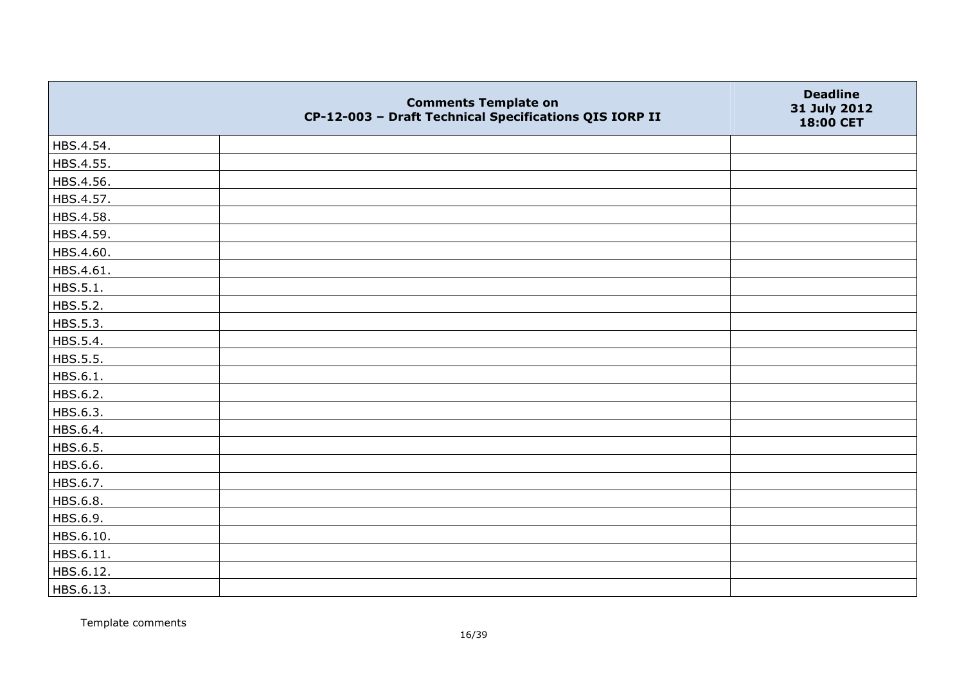|           | <b>Comments Template on</b><br>CP-12-003 - Draft Technical Specifications QIS IORP II | <b>Deadline</b><br>31 July 2012<br>18:00 CET |
|-----------|---------------------------------------------------------------------------------------|----------------------------------------------|
| HBS.4.54. |                                                                                       |                                              |
| HBS.4.55. |                                                                                       |                                              |
| HBS.4.56. |                                                                                       |                                              |
| HBS.4.57. |                                                                                       |                                              |
| HBS.4.58. |                                                                                       |                                              |
| HBS.4.59. |                                                                                       |                                              |
| HBS.4.60. |                                                                                       |                                              |
| HBS.4.61. |                                                                                       |                                              |
| HBS.5.1.  |                                                                                       |                                              |
| HBS.5.2.  |                                                                                       |                                              |
| HBS.5.3.  |                                                                                       |                                              |
| HBS.5.4.  |                                                                                       |                                              |
| HBS.5.5.  |                                                                                       |                                              |
| HBS.6.1.  |                                                                                       |                                              |
| HBS.6.2.  |                                                                                       |                                              |
| HBS.6.3.  |                                                                                       |                                              |
| HBS.6.4.  |                                                                                       |                                              |
| HBS.6.5.  |                                                                                       |                                              |
| HBS.6.6.  |                                                                                       |                                              |
| HBS.6.7.  |                                                                                       |                                              |
| HBS.6.8.  |                                                                                       |                                              |
| HBS.6.9.  |                                                                                       |                                              |
| HBS.6.10. |                                                                                       |                                              |
| HBS.6.11. |                                                                                       |                                              |
| HBS.6.12. |                                                                                       |                                              |
| HBS.6.13. |                                                                                       |                                              |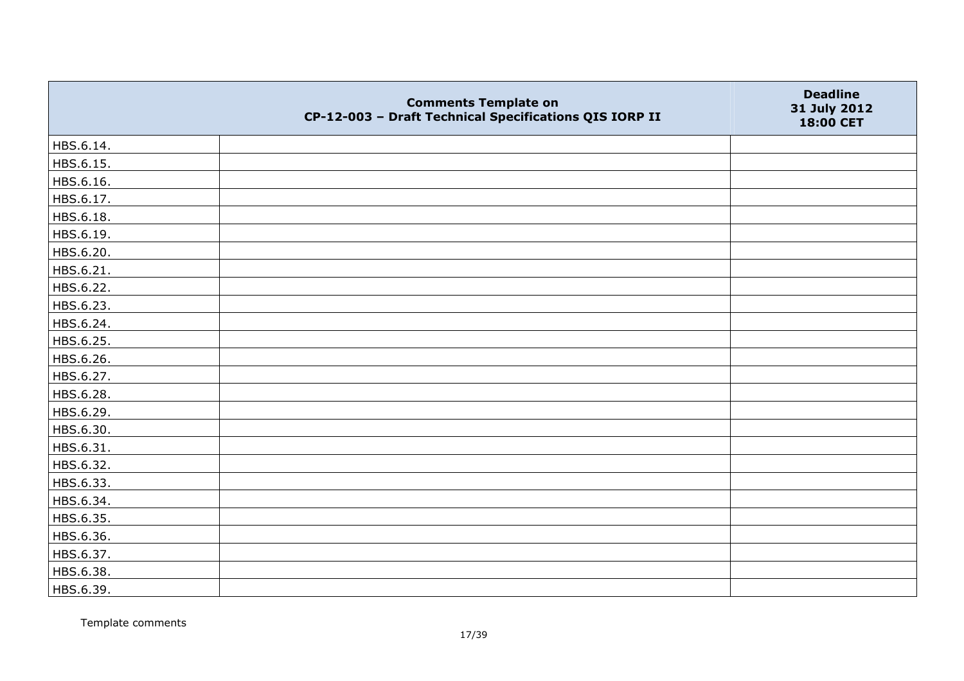|           | <b>Comments Template on</b><br>CP-12-003 - Draft Technical Specifications QIS IORP II | <b>Deadline</b><br>31 July 2012<br>18:00 CET |
|-----------|---------------------------------------------------------------------------------------|----------------------------------------------|
| HBS.6.14. |                                                                                       |                                              |
| HBS.6.15. |                                                                                       |                                              |
| HBS.6.16. |                                                                                       |                                              |
| HBS.6.17. |                                                                                       |                                              |
| HBS.6.18. |                                                                                       |                                              |
| HBS.6.19. |                                                                                       |                                              |
| HBS.6.20. |                                                                                       |                                              |
| HBS.6.21. |                                                                                       |                                              |
| HBS.6.22. |                                                                                       |                                              |
| HBS.6.23. |                                                                                       |                                              |
| HBS.6.24. |                                                                                       |                                              |
| HBS.6.25. |                                                                                       |                                              |
| HBS.6.26. |                                                                                       |                                              |
| HBS.6.27. |                                                                                       |                                              |
| HBS.6.28. |                                                                                       |                                              |
| HBS.6.29. |                                                                                       |                                              |
| HBS.6.30. |                                                                                       |                                              |
| HBS.6.31. |                                                                                       |                                              |
| HBS.6.32. |                                                                                       |                                              |
| HBS.6.33. |                                                                                       |                                              |
| HBS.6.34. |                                                                                       |                                              |
| HBS.6.35. |                                                                                       |                                              |
| HBS.6.36. |                                                                                       |                                              |
| HBS.6.37. |                                                                                       |                                              |
| HBS.6.38. |                                                                                       |                                              |
| HBS.6.39. |                                                                                       |                                              |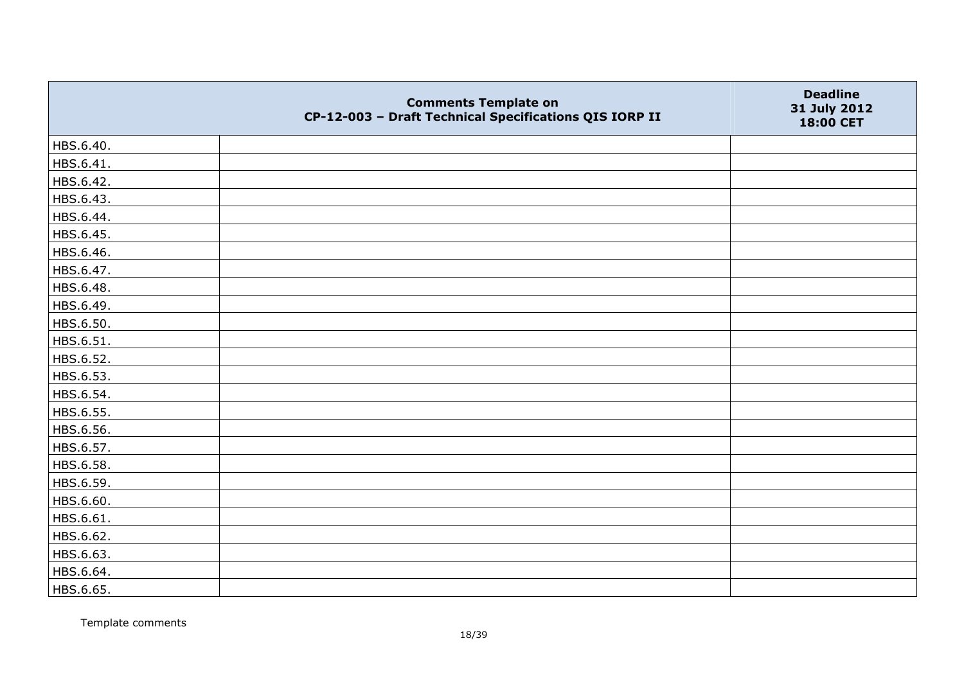|           | <b>Comments Template on</b><br>CP-12-003 - Draft Technical Specifications QIS IORP II | <b>Deadline</b><br>31 July 2012<br>18:00 CET |
|-----------|---------------------------------------------------------------------------------------|----------------------------------------------|
| HBS.6.40. |                                                                                       |                                              |
| HBS.6.41. |                                                                                       |                                              |
| HBS.6.42. |                                                                                       |                                              |
| HBS.6.43. |                                                                                       |                                              |
| HBS.6.44. |                                                                                       |                                              |
| HBS.6.45. |                                                                                       |                                              |
| HBS.6.46. |                                                                                       |                                              |
| HBS.6.47. |                                                                                       |                                              |
| HBS.6.48. |                                                                                       |                                              |
| HBS.6.49. |                                                                                       |                                              |
| HBS.6.50. |                                                                                       |                                              |
| HBS.6.51. |                                                                                       |                                              |
| HBS.6.52. |                                                                                       |                                              |
| HBS.6.53. |                                                                                       |                                              |
| HBS.6.54. |                                                                                       |                                              |
| HBS.6.55. |                                                                                       |                                              |
| HBS.6.56. |                                                                                       |                                              |
| HBS.6.57. |                                                                                       |                                              |
| HBS.6.58. |                                                                                       |                                              |
| HBS.6.59. |                                                                                       |                                              |
| HBS.6.60. |                                                                                       |                                              |
| HBS.6.61. |                                                                                       |                                              |
| HBS.6.62. |                                                                                       |                                              |
| HBS.6.63. |                                                                                       |                                              |
| HBS.6.64. |                                                                                       |                                              |
| HBS.6.65. |                                                                                       |                                              |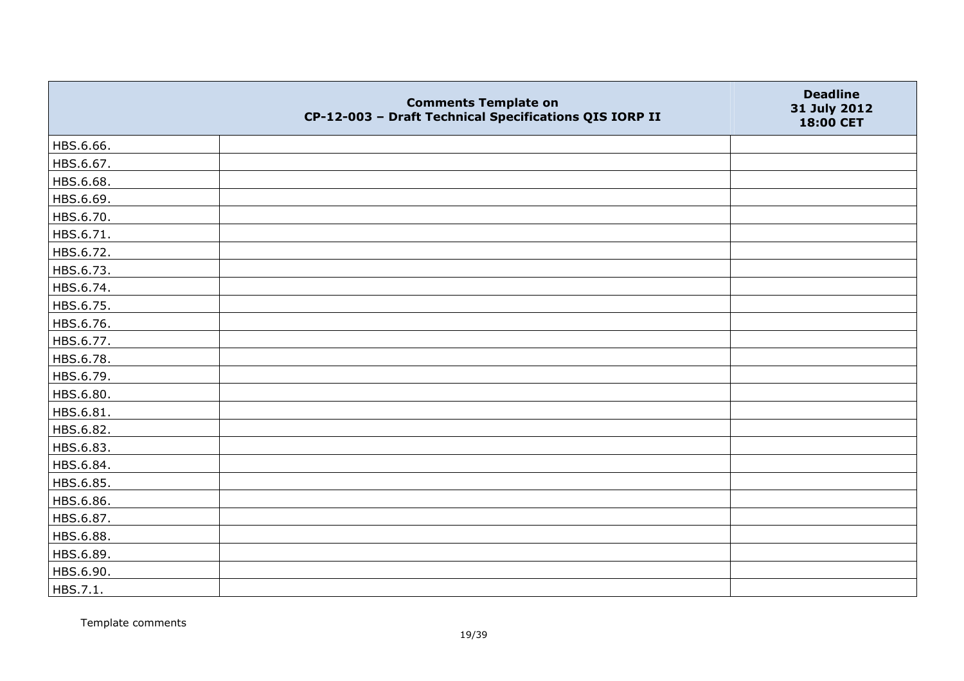|           | <b>Comments Template on</b><br>CP-12-003 - Draft Technical Specifications QIS IORP II | <b>Deadline</b><br>31 July 2012<br>18:00 CET |
|-----------|---------------------------------------------------------------------------------------|----------------------------------------------|
| HBS.6.66. |                                                                                       |                                              |
| HBS.6.67. |                                                                                       |                                              |
| HBS.6.68. |                                                                                       |                                              |
| HBS.6.69. |                                                                                       |                                              |
| HBS.6.70. |                                                                                       |                                              |
| HBS.6.71. |                                                                                       |                                              |
| HBS.6.72. |                                                                                       |                                              |
| HBS.6.73. |                                                                                       |                                              |
| HBS.6.74. |                                                                                       |                                              |
| HBS.6.75. |                                                                                       |                                              |
| HBS.6.76. |                                                                                       |                                              |
| HBS.6.77. |                                                                                       |                                              |
| HBS.6.78. |                                                                                       |                                              |
| HBS.6.79. |                                                                                       |                                              |
| HBS.6.80. |                                                                                       |                                              |
| HBS.6.81. |                                                                                       |                                              |
| HBS.6.82. |                                                                                       |                                              |
| HBS.6.83. |                                                                                       |                                              |
| HBS.6.84. |                                                                                       |                                              |
| HBS.6.85. |                                                                                       |                                              |
| HBS.6.86. |                                                                                       |                                              |
| HBS.6.87. |                                                                                       |                                              |
| HBS.6.88. |                                                                                       |                                              |
| HBS.6.89. |                                                                                       |                                              |
| HBS.6.90. |                                                                                       |                                              |
| HBS.7.1.  |                                                                                       |                                              |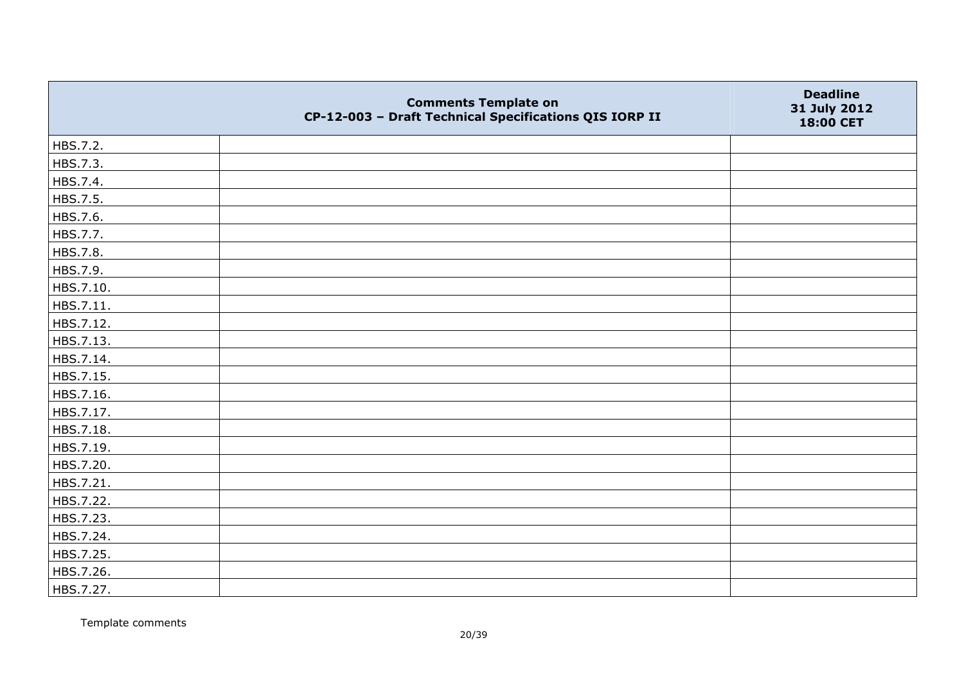|           | <b>Comments Template on</b><br>CP-12-003 - Draft Technical Specifications QIS IORP II | <b>Deadline</b><br>31 July 2012<br>18:00 CET |
|-----------|---------------------------------------------------------------------------------------|----------------------------------------------|
| HBS.7.2.  |                                                                                       |                                              |
| HBS.7.3.  |                                                                                       |                                              |
| HBS.7.4.  |                                                                                       |                                              |
| HBS.7.5.  |                                                                                       |                                              |
| HBS.7.6.  |                                                                                       |                                              |
| HBS.7.7.  |                                                                                       |                                              |
| HBS.7.8.  |                                                                                       |                                              |
| HBS.7.9.  |                                                                                       |                                              |
| HBS.7.10. |                                                                                       |                                              |
| HBS.7.11. |                                                                                       |                                              |
| HBS.7.12. |                                                                                       |                                              |
| HBS.7.13. |                                                                                       |                                              |
| HBS.7.14. |                                                                                       |                                              |
| HBS.7.15. |                                                                                       |                                              |
| HBS.7.16. |                                                                                       |                                              |
| HBS.7.17. |                                                                                       |                                              |
| HBS.7.18. |                                                                                       |                                              |
| HBS.7.19. |                                                                                       |                                              |
| HBS.7.20. |                                                                                       |                                              |
| HBS.7.21. |                                                                                       |                                              |
| HBS.7.22. |                                                                                       |                                              |
| HBS.7.23. |                                                                                       |                                              |
| HBS.7.24. |                                                                                       |                                              |
| HBS.7.25. |                                                                                       |                                              |
| HBS.7.26. |                                                                                       |                                              |
| HBS.7.27. |                                                                                       |                                              |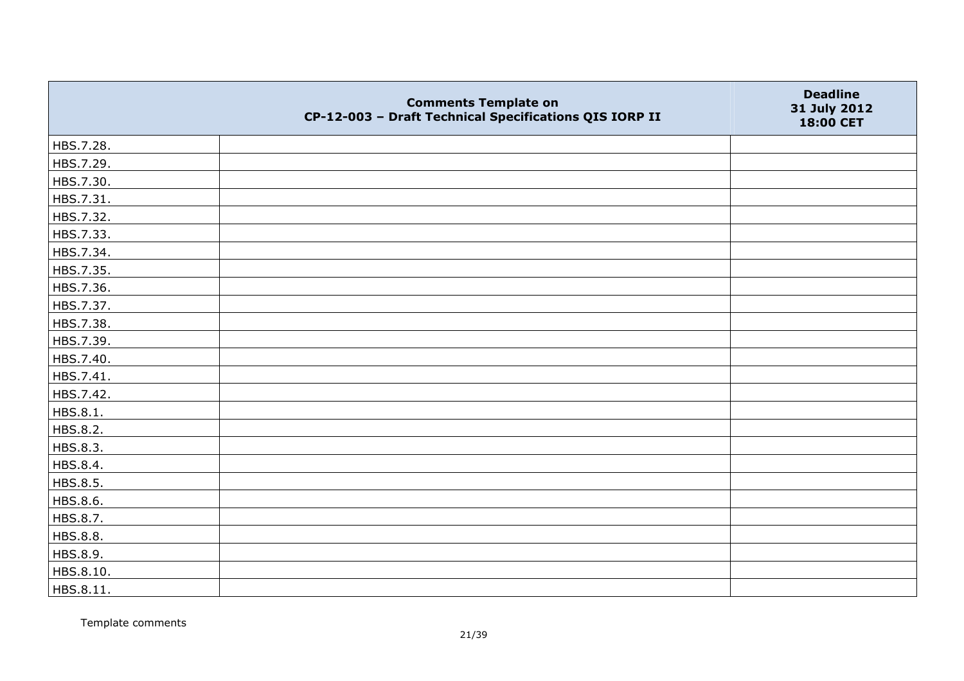|           | <b>Comments Template on</b><br>CP-12-003 - Draft Technical Specifications QIS IORP II | <b>Deadline</b><br>31 July 2012<br>18:00 CET |
|-----------|---------------------------------------------------------------------------------------|----------------------------------------------|
| HBS.7.28. |                                                                                       |                                              |
| HBS.7.29. |                                                                                       |                                              |
| HBS.7.30. |                                                                                       |                                              |
| HBS.7.31. |                                                                                       |                                              |
| HBS.7.32. |                                                                                       |                                              |
| HBS.7.33. |                                                                                       |                                              |
| HBS.7.34. |                                                                                       |                                              |
| HBS.7.35. |                                                                                       |                                              |
| HBS.7.36. |                                                                                       |                                              |
| HBS.7.37. |                                                                                       |                                              |
| HBS.7.38. |                                                                                       |                                              |
| HBS.7.39. |                                                                                       |                                              |
| HBS.7.40. |                                                                                       |                                              |
| HBS.7.41. |                                                                                       |                                              |
| HBS.7.42. |                                                                                       |                                              |
| HBS.8.1.  |                                                                                       |                                              |
| HBS.8.2.  |                                                                                       |                                              |
| HBS.8.3.  |                                                                                       |                                              |
| HBS.8.4.  |                                                                                       |                                              |
| HBS.8.5.  |                                                                                       |                                              |
| HBS.8.6.  |                                                                                       |                                              |
| HBS.8.7.  |                                                                                       |                                              |
| HBS.8.8.  |                                                                                       |                                              |
| HBS.8.9.  |                                                                                       |                                              |
| HBS.8.10. |                                                                                       |                                              |
| HBS.8.11. |                                                                                       |                                              |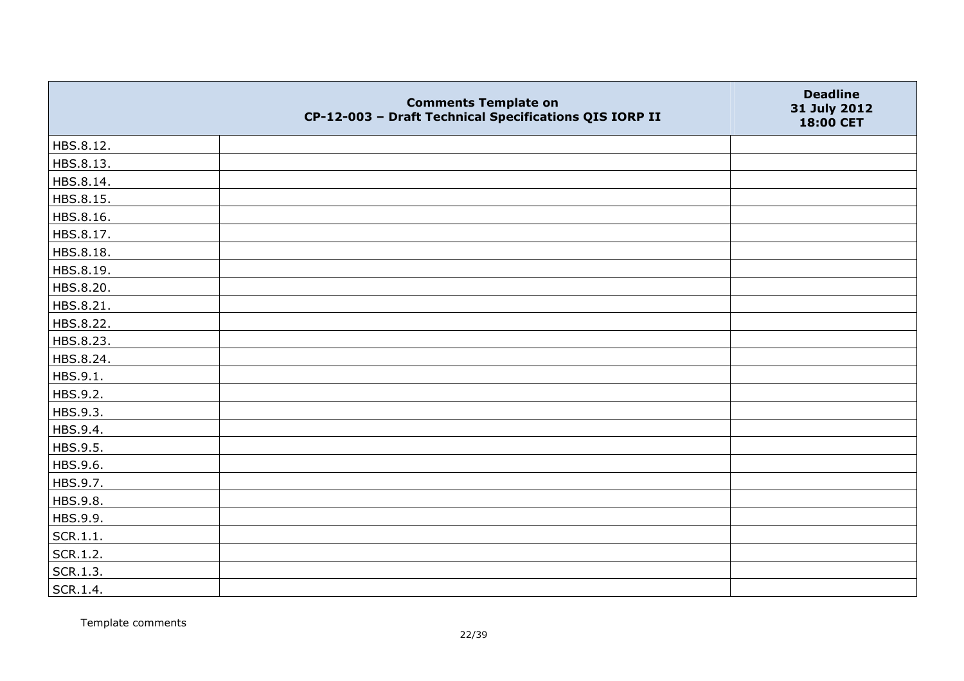|           | <b>Comments Template on</b><br>CP-12-003 - Draft Technical Specifications QIS IORP II | <b>Deadline</b><br>31 July 2012<br>18:00 CET |
|-----------|---------------------------------------------------------------------------------------|----------------------------------------------|
| HBS.8.12. |                                                                                       |                                              |
| HBS.8.13. |                                                                                       |                                              |
| HBS.8.14. |                                                                                       |                                              |
| HBS.8.15. |                                                                                       |                                              |
| HBS.8.16. |                                                                                       |                                              |
| HBS.8.17. |                                                                                       |                                              |
| HBS.8.18. |                                                                                       |                                              |
| HBS.8.19. |                                                                                       |                                              |
| HBS.8.20. |                                                                                       |                                              |
| HBS.8.21. |                                                                                       |                                              |
| HBS.8.22. |                                                                                       |                                              |
| HBS.8.23. |                                                                                       |                                              |
| HBS.8.24. |                                                                                       |                                              |
| HBS.9.1.  |                                                                                       |                                              |
| HBS.9.2.  |                                                                                       |                                              |
| HBS.9.3.  |                                                                                       |                                              |
| HBS.9.4.  |                                                                                       |                                              |
| HBS.9.5.  |                                                                                       |                                              |
| HBS.9.6.  |                                                                                       |                                              |
| HBS.9.7.  |                                                                                       |                                              |
| HBS.9.8.  |                                                                                       |                                              |
| HBS.9.9.  |                                                                                       |                                              |
| SCR.1.1.  |                                                                                       |                                              |
| SCR.1.2.  |                                                                                       |                                              |
| SCR.1.3.  |                                                                                       |                                              |
| SCR.1.4.  |                                                                                       |                                              |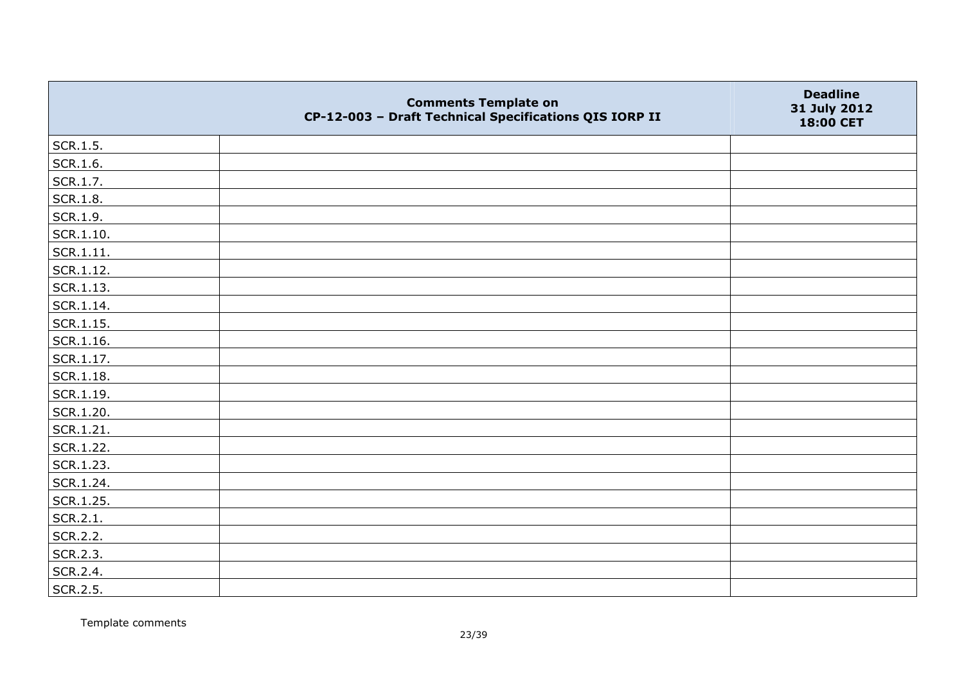|                   | <b>Comments Template on</b><br>CP-12-003 - Draft Technical Specifications QIS IORP II | <b>Deadline</b><br>31 July 2012<br>18:00 CET |
|-------------------|---------------------------------------------------------------------------------------|----------------------------------------------|
| SCR.1.5.          |                                                                                       |                                              |
| SCR.1.6.          |                                                                                       |                                              |
| SCR.1.7.          |                                                                                       |                                              |
| <b>SCR.1.8.</b>   |                                                                                       |                                              |
| SCR.1.9.          |                                                                                       |                                              |
| SCR.1.10.         |                                                                                       |                                              |
| $ $ SCR.1.11.     |                                                                                       |                                              |
| $ $ SCR.1.12.     |                                                                                       |                                              |
| $ $ SCR.1.13.     |                                                                                       |                                              |
| $ $ SCR.1.14.     |                                                                                       |                                              |
| $ $ SCR.1.15.     |                                                                                       |                                              |
| $\vert$ SCR.1.16. |                                                                                       |                                              |
| SCR.1.17.         |                                                                                       |                                              |
| SCR.1.18.         |                                                                                       |                                              |
| SCR.1.19.         |                                                                                       |                                              |
| SCR.1.20.         |                                                                                       |                                              |
| SCR.1.21.         |                                                                                       |                                              |
| SCR.1.22.         |                                                                                       |                                              |
| SCR.1.23.         |                                                                                       |                                              |
| SCR.1.24.         |                                                                                       |                                              |
| SCR.1.25.         |                                                                                       |                                              |
| SCR.2.1.          |                                                                                       |                                              |
| SCR.2.2.          |                                                                                       |                                              |
| SCR.2.3.          |                                                                                       |                                              |
| SCR.2.4.          |                                                                                       |                                              |
| SCR.2.5.          |                                                                                       |                                              |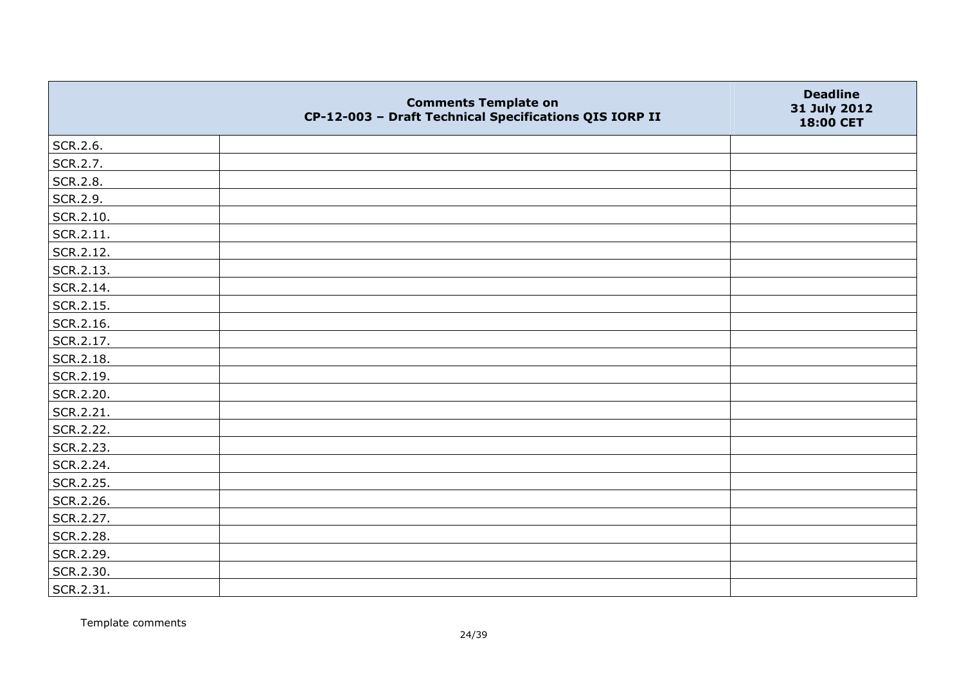|                   | <b>Comments Template on</b><br>CP-12-003 - Draft Technical Specifications QIS IORP II | <b>Deadline</b><br>31 July 2012<br>18:00 CET |
|-------------------|---------------------------------------------------------------------------------------|----------------------------------------------|
| SCR.2.6.          |                                                                                       |                                              |
| SCR.2.7.          |                                                                                       |                                              |
| SCR.2.8.          |                                                                                       |                                              |
| SCR.2.9.          |                                                                                       |                                              |
| SCR.2.10.         |                                                                                       |                                              |
| $\vert$ SCR.2.11. |                                                                                       |                                              |
| SCR.2.12.         |                                                                                       |                                              |
| SCR.2.13.         |                                                                                       |                                              |
| SCR.2.14.         |                                                                                       |                                              |
| SCR.2.15.         |                                                                                       |                                              |
| SCR.2.16.         |                                                                                       |                                              |
| SCR.2.17.         |                                                                                       |                                              |
| SCR.2.18.         |                                                                                       |                                              |
| SCR.2.19.         |                                                                                       |                                              |
| SCR.2.20.         |                                                                                       |                                              |
| SCR.2.21.         |                                                                                       |                                              |
| SCR.2.22.         |                                                                                       |                                              |
| SCR.2.23.         |                                                                                       |                                              |
| SCR.2.24.         |                                                                                       |                                              |
| SCR.2.25.         |                                                                                       |                                              |
| SCR.2.26.         |                                                                                       |                                              |
| SCR.2.27.         |                                                                                       |                                              |
| SCR.2.28.         |                                                                                       |                                              |
| SCR.2.29.         |                                                                                       |                                              |
| SCR.2.30.         |                                                                                       |                                              |
| SCR.2.31.         |                                                                                       |                                              |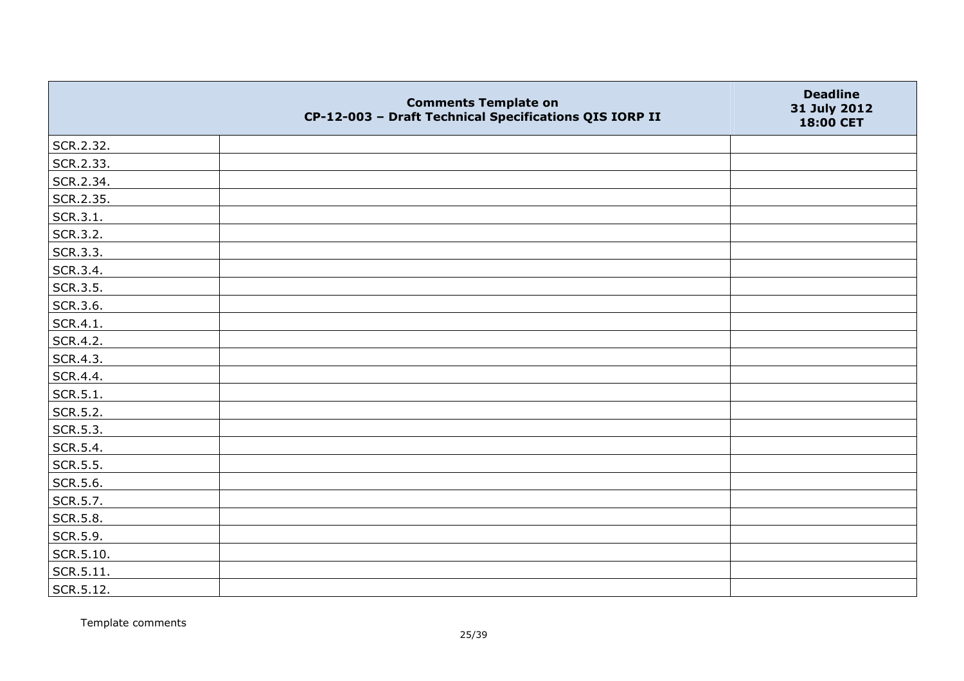|           | <b>Comments Template on</b><br>CP-12-003 - Draft Technical Specifications QIS IORP II | <b>Deadline</b><br>31 July 2012<br>18:00 CET |
|-----------|---------------------------------------------------------------------------------------|----------------------------------------------|
| SCR.2.32. |                                                                                       |                                              |
| SCR.2.33. |                                                                                       |                                              |
| SCR.2.34. |                                                                                       |                                              |
| SCR.2.35. |                                                                                       |                                              |
| SCR.3.1.  |                                                                                       |                                              |
| SCR.3.2.  |                                                                                       |                                              |
| SCR.3.3.  |                                                                                       |                                              |
| SCR.3.4.  |                                                                                       |                                              |
| SCR.3.5.  |                                                                                       |                                              |
| SCR.3.6.  |                                                                                       |                                              |
| SCR.4.1.  |                                                                                       |                                              |
| SCR.4.2.  |                                                                                       |                                              |
| SCR.4.3.  |                                                                                       |                                              |
| SCR.4.4.  |                                                                                       |                                              |
| SCR.5.1.  |                                                                                       |                                              |
| SCR.5.2.  |                                                                                       |                                              |
| SCR.5.3.  |                                                                                       |                                              |
| SCR.5.4.  |                                                                                       |                                              |
| SCR.5.5.  |                                                                                       |                                              |
| SCR.5.6.  |                                                                                       |                                              |
| SCR.5.7.  |                                                                                       |                                              |
| SCR.5.8.  |                                                                                       |                                              |
| SCR.5.9.  |                                                                                       |                                              |
| SCR.5.10. |                                                                                       |                                              |
| SCR.5.11. |                                                                                       |                                              |
| SCR.5.12. |                                                                                       |                                              |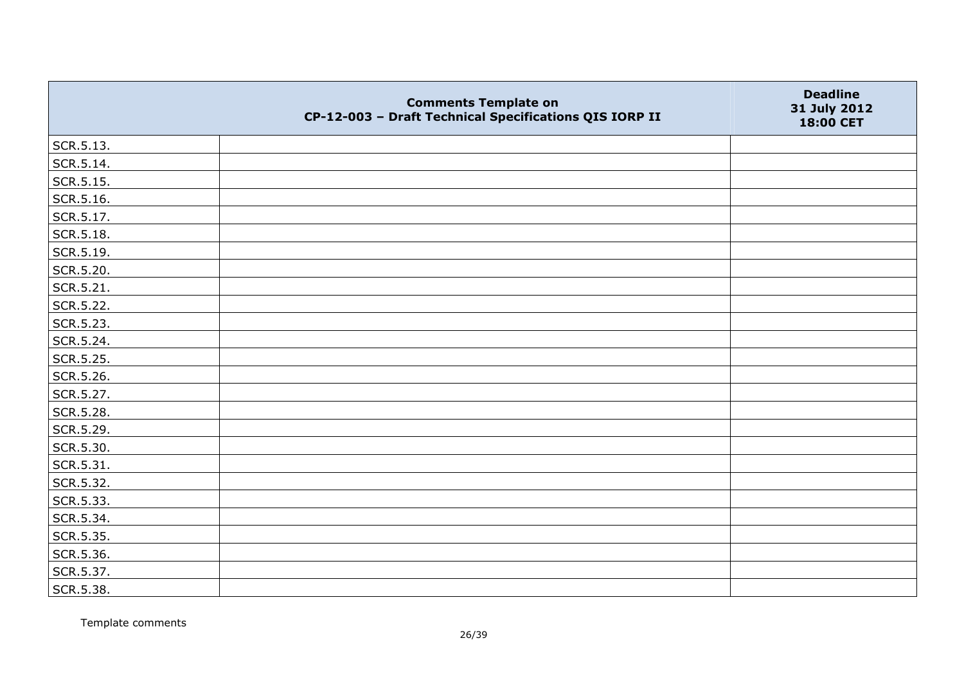|           | <b>Comments Template on</b><br>CP-12-003 - Draft Technical Specifications QIS IORP II | <b>Deadline</b><br>31 July 2012<br>18:00 CET |
|-----------|---------------------------------------------------------------------------------------|----------------------------------------------|
| SCR.5.13. |                                                                                       |                                              |
| SCR.5.14. |                                                                                       |                                              |
| SCR.5.15. |                                                                                       |                                              |
| SCR.5.16. |                                                                                       |                                              |
| SCR.5.17. |                                                                                       |                                              |
| SCR.5.18. |                                                                                       |                                              |
| SCR.5.19. |                                                                                       |                                              |
| SCR.5.20. |                                                                                       |                                              |
| SCR.5.21. |                                                                                       |                                              |
| SCR.5.22. |                                                                                       |                                              |
| SCR.5.23. |                                                                                       |                                              |
| SCR.5.24. |                                                                                       |                                              |
| SCR.5.25. |                                                                                       |                                              |
| SCR.5.26. |                                                                                       |                                              |
| SCR.5.27. |                                                                                       |                                              |
| SCR.5.28. |                                                                                       |                                              |
| SCR.5.29. |                                                                                       |                                              |
| SCR.5.30. |                                                                                       |                                              |
| SCR.5.31. |                                                                                       |                                              |
| SCR.5.32. |                                                                                       |                                              |
| SCR.5.33. |                                                                                       |                                              |
| SCR.5.34. |                                                                                       |                                              |
| SCR.5.35. |                                                                                       |                                              |
| SCR.5.36. |                                                                                       |                                              |
| SCR.5.37. |                                                                                       |                                              |
| SCR.5.38. |                                                                                       |                                              |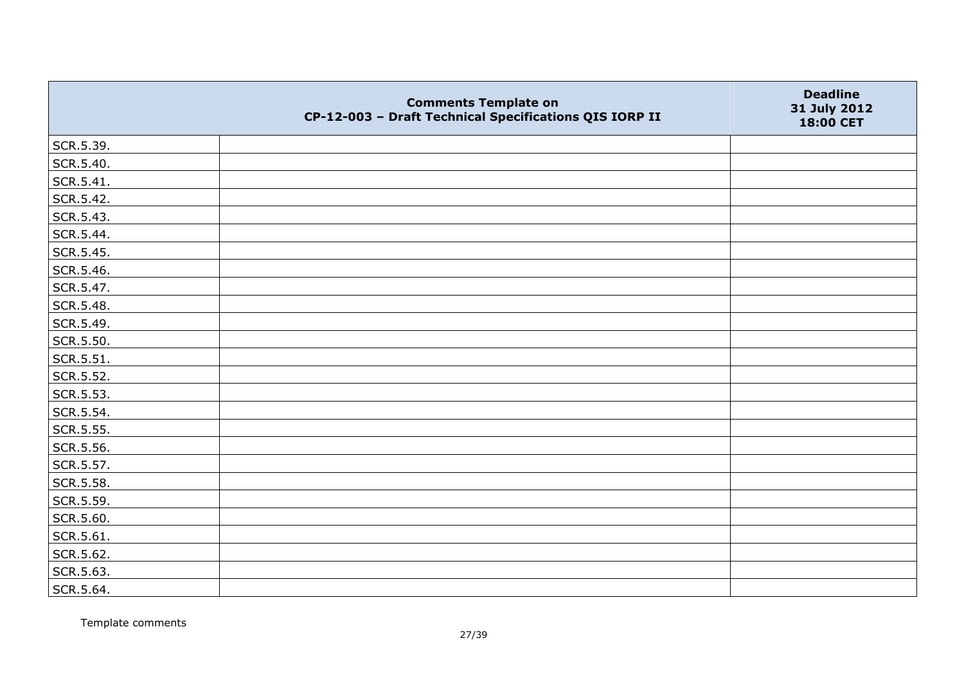|           | <b>Comments Template on</b><br>CP-12-003 - Draft Technical Specifications QIS IORP II | <b>Deadline</b><br>31 July 2012<br>18:00 CET |
|-----------|---------------------------------------------------------------------------------------|----------------------------------------------|
| SCR.5.39. |                                                                                       |                                              |
| SCR.5.40. |                                                                                       |                                              |
| SCR.5.41. |                                                                                       |                                              |
| SCR.5.42. |                                                                                       |                                              |
| SCR.5.43. |                                                                                       |                                              |
| SCR.5.44. |                                                                                       |                                              |
| SCR.5.45. |                                                                                       |                                              |
| SCR.5.46. |                                                                                       |                                              |
| SCR.5.47. |                                                                                       |                                              |
| SCR.5.48. |                                                                                       |                                              |
| SCR.5.49. |                                                                                       |                                              |
| SCR.5.50. |                                                                                       |                                              |
| SCR.5.51. |                                                                                       |                                              |
| SCR.5.52. |                                                                                       |                                              |
| SCR.5.53. |                                                                                       |                                              |
| SCR.5.54. |                                                                                       |                                              |
| SCR.5.55. |                                                                                       |                                              |
| SCR.5.56. |                                                                                       |                                              |
| SCR.5.57. |                                                                                       |                                              |
| SCR.5.58. |                                                                                       |                                              |
| SCR.5.59. |                                                                                       |                                              |
| SCR.5.60. |                                                                                       |                                              |
| SCR.5.61. |                                                                                       |                                              |
| SCR.5.62. |                                                                                       |                                              |
| SCR.5.63. |                                                                                       |                                              |
| SCR.5.64. |                                                                                       |                                              |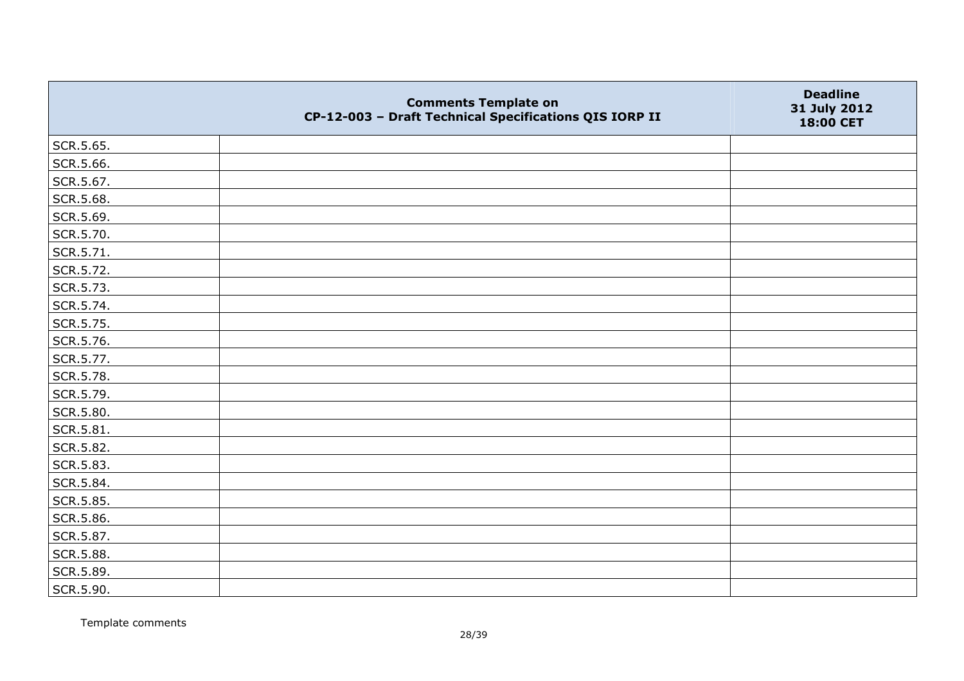|           | <b>Comments Template on</b><br>CP-12-003 - Draft Technical Specifications QIS IORP II | <b>Deadline</b><br>31 July 2012<br>18:00 CET |
|-----------|---------------------------------------------------------------------------------------|----------------------------------------------|
| SCR.5.65. |                                                                                       |                                              |
| SCR.5.66. |                                                                                       |                                              |
| SCR.5.67. |                                                                                       |                                              |
| SCR.5.68. |                                                                                       |                                              |
| SCR.5.69. |                                                                                       |                                              |
| SCR.5.70. |                                                                                       |                                              |
| SCR.5.71. |                                                                                       |                                              |
| SCR.5.72. |                                                                                       |                                              |
| SCR.5.73. |                                                                                       |                                              |
| SCR.5.74. |                                                                                       |                                              |
| SCR.5.75. |                                                                                       |                                              |
| SCR.5.76. |                                                                                       |                                              |
| SCR.5.77. |                                                                                       |                                              |
| SCR.5.78. |                                                                                       |                                              |
| SCR.5.79. |                                                                                       |                                              |
| SCR.5.80. |                                                                                       |                                              |
| SCR.5.81. |                                                                                       |                                              |
| SCR.5.82. |                                                                                       |                                              |
| SCR.5.83. |                                                                                       |                                              |
| SCR.5.84. |                                                                                       |                                              |
| SCR.5.85. |                                                                                       |                                              |
| SCR.5.86. |                                                                                       |                                              |
| SCR.5.87. |                                                                                       |                                              |
| SCR.5.88. |                                                                                       |                                              |
| SCR.5.89. |                                                                                       |                                              |
| SCR.5.90. |                                                                                       |                                              |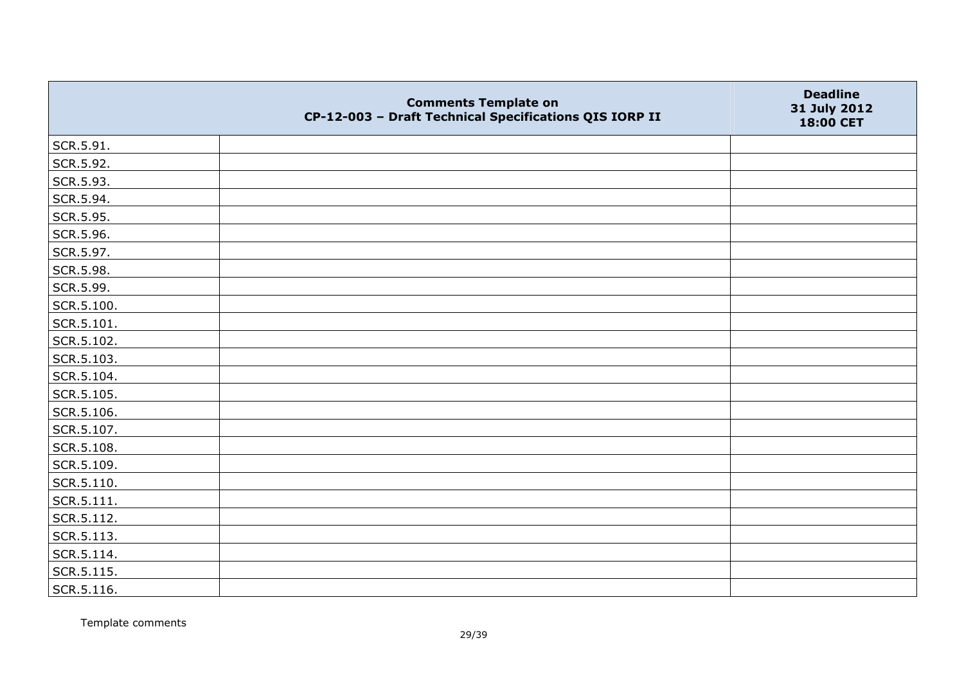|                    | <b>Comments Template on</b><br>CP-12-003 - Draft Technical Specifications QIS IORP II | <b>Deadline</b><br>31 July 2012<br>18:00 CET |
|--------------------|---------------------------------------------------------------------------------------|----------------------------------------------|
| SCR.5.91.          |                                                                                       |                                              |
| SCR.5.92.          |                                                                                       |                                              |
| SCR.5.93.          |                                                                                       |                                              |
| SCR.5.94.          |                                                                                       |                                              |
| SCR.5.95.          |                                                                                       |                                              |
| SCR.5.96.          |                                                                                       |                                              |
| SCR.5.97.          |                                                                                       |                                              |
| SCR.5.98.          |                                                                                       |                                              |
| SCR.5.99.          |                                                                                       |                                              |
| SCR.5.100.         |                                                                                       |                                              |
| SCR.5.101.         |                                                                                       |                                              |
| SCR.5.102.         |                                                                                       |                                              |
| SCR.5.103.         |                                                                                       |                                              |
| SCR.5.104.         |                                                                                       |                                              |
| SCR.5.105.         |                                                                                       |                                              |
| SCR.5.106.         |                                                                                       |                                              |
| SCR.5.107.         |                                                                                       |                                              |
| SCR.5.108.         |                                                                                       |                                              |
| SCR.5.109.         |                                                                                       |                                              |
| SCR.5.110.         |                                                                                       |                                              |
| $\vert$ SCR.5.111. |                                                                                       |                                              |
| SCR.5.112.         |                                                                                       |                                              |
| SCR.5.113.         |                                                                                       |                                              |
| SCR.5.114.         |                                                                                       |                                              |
| SCR.5.115.         |                                                                                       |                                              |
| $\vert$ SCR.5.116. |                                                                                       |                                              |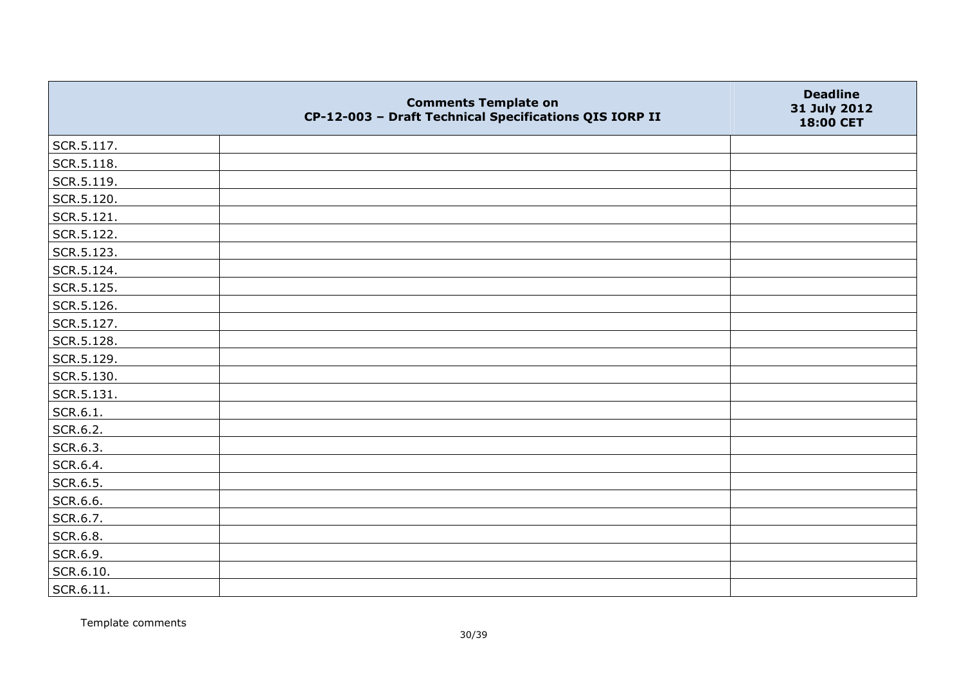|                   | <b>Comments Template on</b><br>CP-12-003 - Draft Technical Specifications QIS IORP II | <b>Deadline</b><br>31 July 2012<br>18:00 CET |
|-------------------|---------------------------------------------------------------------------------------|----------------------------------------------|
| SCR.5.117.        |                                                                                       |                                              |
| SCR.5.118.        |                                                                                       |                                              |
| SCR.5.119.        |                                                                                       |                                              |
| SCR.5.120.        |                                                                                       |                                              |
| SCR.5.121.        |                                                                                       |                                              |
| SCR.5.122.        |                                                                                       |                                              |
| SCR.5.123.        |                                                                                       |                                              |
| SCR.5.124.        |                                                                                       |                                              |
| SCR.5.125.        |                                                                                       |                                              |
| SCR.5.126.        |                                                                                       |                                              |
| SCR.5.127.        |                                                                                       |                                              |
| SCR.5.128.        |                                                                                       |                                              |
| SCR.5.129.        |                                                                                       |                                              |
| SCR.5.130.        |                                                                                       |                                              |
| SCR.5.131.        |                                                                                       |                                              |
| SCR.6.1.          |                                                                                       |                                              |
| SCR.6.2.          |                                                                                       |                                              |
| SCR.6.3.          |                                                                                       |                                              |
| SCR.6.4.          |                                                                                       |                                              |
| SCR.6.5.          |                                                                                       |                                              |
| SCR.6.6.          |                                                                                       |                                              |
| SCR.6.7.          |                                                                                       |                                              |
| SCR.6.8.          |                                                                                       |                                              |
| SCR.6.9.          |                                                                                       |                                              |
| SCR.6.10.         |                                                                                       |                                              |
| $\vert$ SCR.6.11. |                                                                                       |                                              |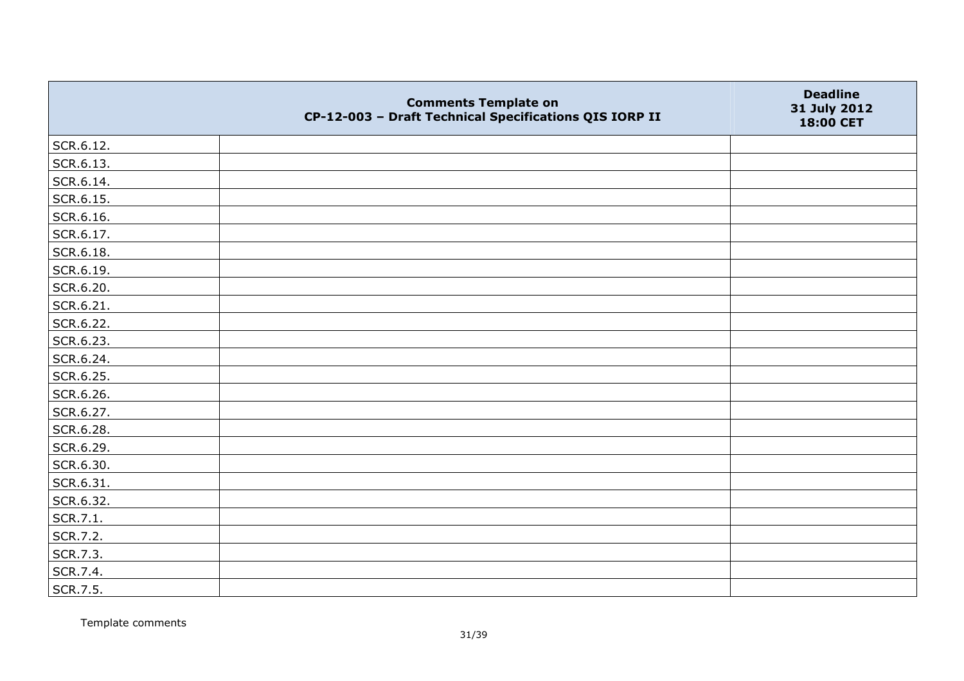|           | <b>Comments Template on</b><br>CP-12-003 - Draft Technical Specifications QIS IORP II | <b>Deadline</b><br>31 July 2012<br>18:00 CET |
|-----------|---------------------------------------------------------------------------------------|----------------------------------------------|
| SCR.6.12. |                                                                                       |                                              |
| SCR.6.13. |                                                                                       |                                              |
| SCR.6.14. |                                                                                       |                                              |
| SCR.6.15. |                                                                                       |                                              |
| SCR.6.16. |                                                                                       |                                              |
| SCR.6.17. |                                                                                       |                                              |
| SCR.6.18. |                                                                                       |                                              |
| SCR.6.19. |                                                                                       |                                              |
| SCR.6.20. |                                                                                       |                                              |
| SCR.6.21. |                                                                                       |                                              |
| SCR.6.22. |                                                                                       |                                              |
| SCR.6.23. |                                                                                       |                                              |
| SCR.6.24. |                                                                                       |                                              |
| SCR.6.25. |                                                                                       |                                              |
| SCR.6.26. |                                                                                       |                                              |
| SCR.6.27. |                                                                                       |                                              |
| SCR.6.28. |                                                                                       |                                              |
| SCR.6.29. |                                                                                       |                                              |
| SCR.6.30. |                                                                                       |                                              |
| SCR.6.31. |                                                                                       |                                              |
| SCR.6.32. |                                                                                       |                                              |
| SCR.7.1.  |                                                                                       |                                              |
| SCR.7.2.  |                                                                                       |                                              |
| SCR.7.3.  |                                                                                       |                                              |
| SCR.7.4.  |                                                                                       |                                              |
| SCR.7.5.  |                                                                                       |                                              |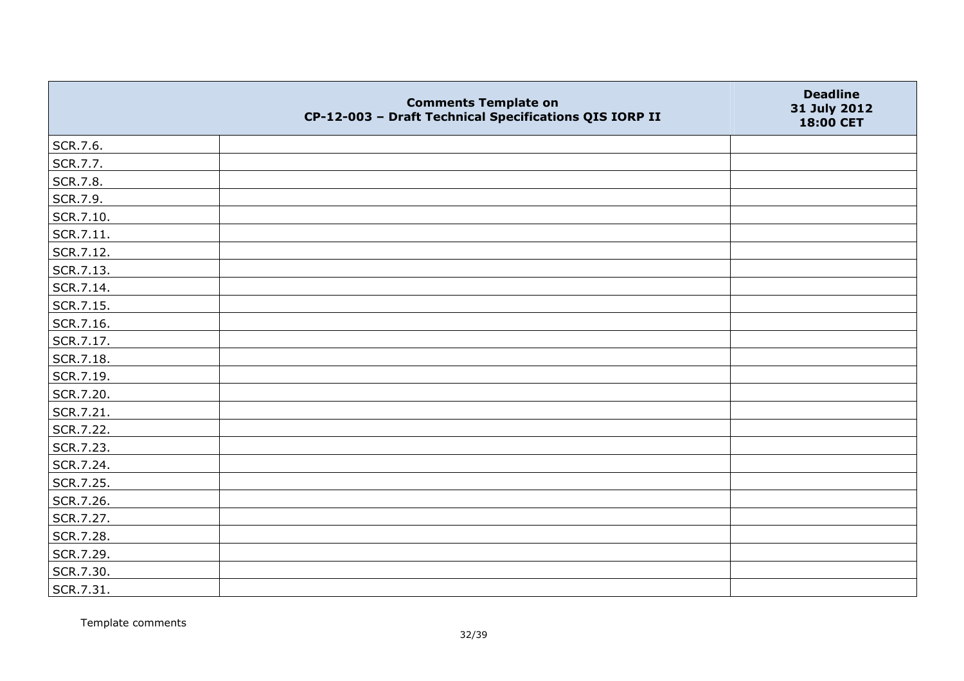|           | <b>Comments Template on</b><br>CP-12-003 - Draft Technical Specifications QIS IORP II | <b>Deadline</b><br>31 July 2012<br>18:00 CET |
|-----------|---------------------------------------------------------------------------------------|----------------------------------------------|
| SCR.7.6.  |                                                                                       |                                              |
| SCR.7.7.  |                                                                                       |                                              |
| SCR.7.8.  |                                                                                       |                                              |
| SCR.7.9.  |                                                                                       |                                              |
| SCR.7.10. |                                                                                       |                                              |
| SCR.7.11. |                                                                                       |                                              |
| SCR.7.12. |                                                                                       |                                              |
| SCR.7.13. |                                                                                       |                                              |
| SCR.7.14. |                                                                                       |                                              |
| SCR.7.15. |                                                                                       |                                              |
| SCR.7.16. |                                                                                       |                                              |
| SCR.7.17. |                                                                                       |                                              |
| SCR.7.18. |                                                                                       |                                              |
| SCR.7.19. |                                                                                       |                                              |
| SCR.7.20. |                                                                                       |                                              |
| SCR.7.21. |                                                                                       |                                              |
| SCR.7.22. |                                                                                       |                                              |
| SCR.7.23. |                                                                                       |                                              |
| SCR.7.24. |                                                                                       |                                              |
| SCR.7.25. |                                                                                       |                                              |
| SCR.7.26. |                                                                                       |                                              |
| SCR.7.27. |                                                                                       |                                              |
| SCR.7.28. |                                                                                       |                                              |
| SCR.7.29. |                                                                                       |                                              |
| SCR.7.30. |                                                                                       |                                              |
| SCR.7.31. |                                                                                       |                                              |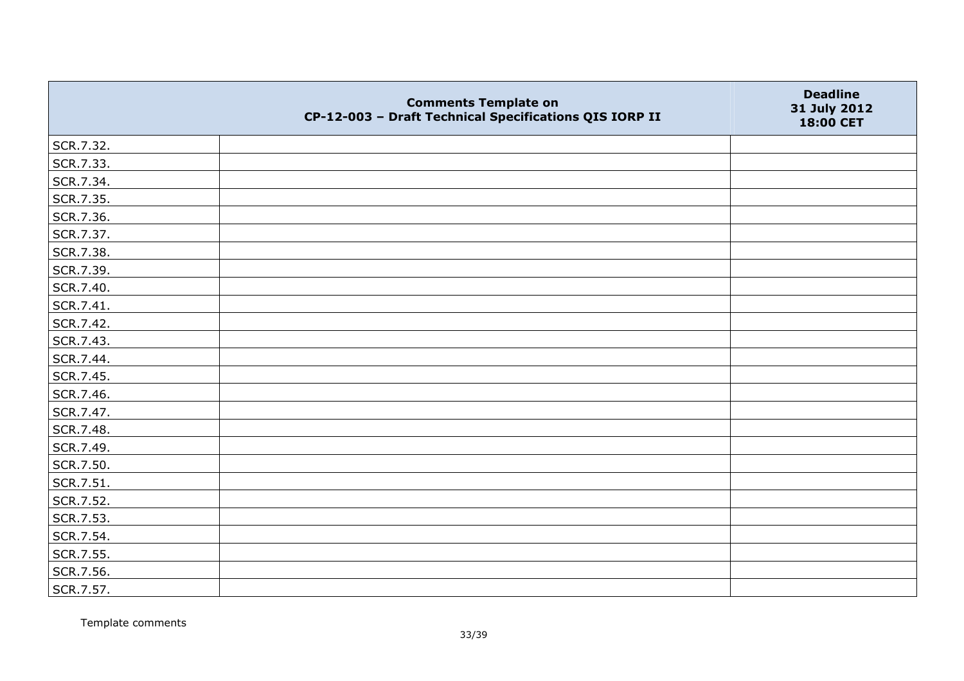|           | <b>Comments Template on</b><br>CP-12-003 - Draft Technical Specifications QIS IORP II | <b>Deadline</b><br>31 July 2012<br>18:00 CET |
|-----------|---------------------------------------------------------------------------------------|----------------------------------------------|
| SCR.7.32. |                                                                                       |                                              |
| SCR.7.33. |                                                                                       |                                              |
| SCR.7.34. |                                                                                       |                                              |
| SCR.7.35. |                                                                                       |                                              |
| SCR.7.36. |                                                                                       |                                              |
| SCR.7.37. |                                                                                       |                                              |
| SCR.7.38. |                                                                                       |                                              |
| SCR.7.39. |                                                                                       |                                              |
| SCR.7.40. |                                                                                       |                                              |
| SCR.7.41. |                                                                                       |                                              |
| SCR.7.42. |                                                                                       |                                              |
| SCR.7.43. |                                                                                       |                                              |
| SCR.7.44. |                                                                                       |                                              |
| SCR.7.45. |                                                                                       |                                              |
| SCR.7.46. |                                                                                       |                                              |
| SCR.7.47. |                                                                                       |                                              |
| SCR.7.48. |                                                                                       |                                              |
| SCR.7.49. |                                                                                       |                                              |
| SCR.7.50. |                                                                                       |                                              |
| SCR.7.51. |                                                                                       |                                              |
| SCR.7.52. |                                                                                       |                                              |
| SCR.7.53. |                                                                                       |                                              |
| SCR.7.54. |                                                                                       |                                              |
| SCR.7.55. |                                                                                       |                                              |
| SCR.7.56. |                                                                                       |                                              |
| SCR.7.57. |                                                                                       |                                              |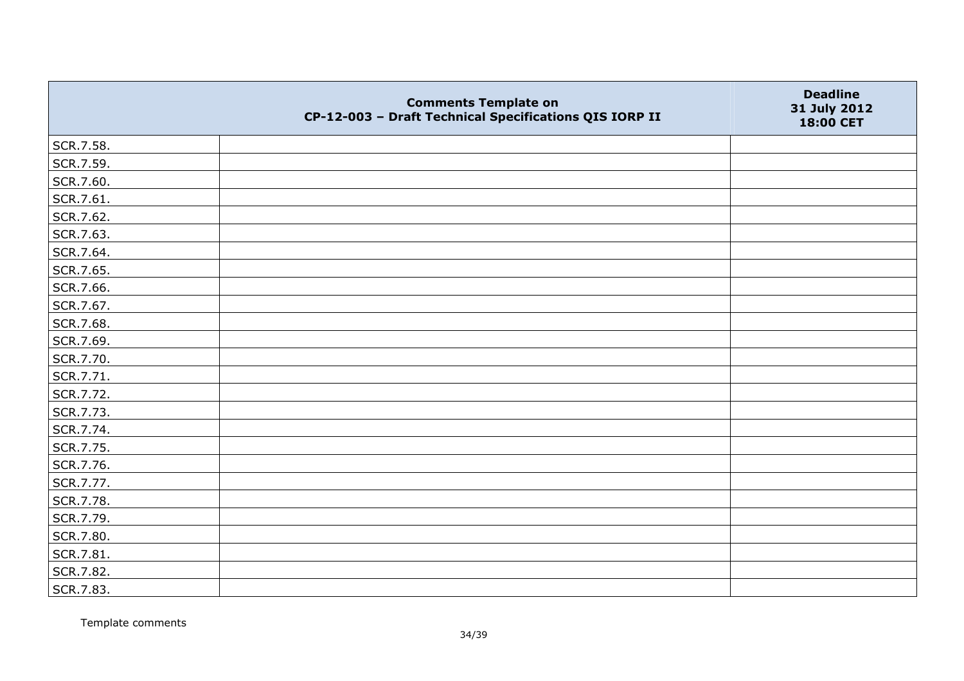|           | <b>Comments Template on</b><br>CP-12-003 - Draft Technical Specifications QIS IORP II | <b>Deadline</b><br>31 July 2012<br>18:00 CET |
|-----------|---------------------------------------------------------------------------------------|----------------------------------------------|
| SCR.7.58. |                                                                                       |                                              |
| SCR.7.59. |                                                                                       |                                              |
| SCR.7.60. |                                                                                       |                                              |
| SCR.7.61. |                                                                                       |                                              |
| SCR.7.62. |                                                                                       |                                              |
| SCR.7.63. |                                                                                       |                                              |
| SCR.7.64. |                                                                                       |                                              |
| SCR.7.65. |                                                                                       |                                              |
| SCR.7.66. |                                                                                       |                                              |
| SCR.7.67. |                                                                                       |                                              |
| SCR.7.68. |                                                                                       |                                              |
| SCR.7.69. |                                                                                       |                                              |
| SCR.7.70. |                                                                                       |                                              |
| SCR.7.71. |                                                                                       |                                              |
| SCR.7.72. |                                                                                       |                                              |
| SCR.7.73. |                                                                                       |                                              |
| SCR.7.74. |                                                                                       |                                              |
| SCR.7.75. |                                                                                       |                                              |
| SCR.7.76. |                                                                                       |                                              |
| SCR.7.77. |                                                                                       |                                              |
| SCR.7.78. |                                                                                       |                                              |
| SCR.7.79. |                                                                                       |                                              |
| SCR.7.80. |                                                                                       |                                              |
| SCR.7.81. |                                                                                       |                                              |
| SCR.7.82. |                                                                                       |                                              |
| SCR.7.83. |                                                                                       |                                              |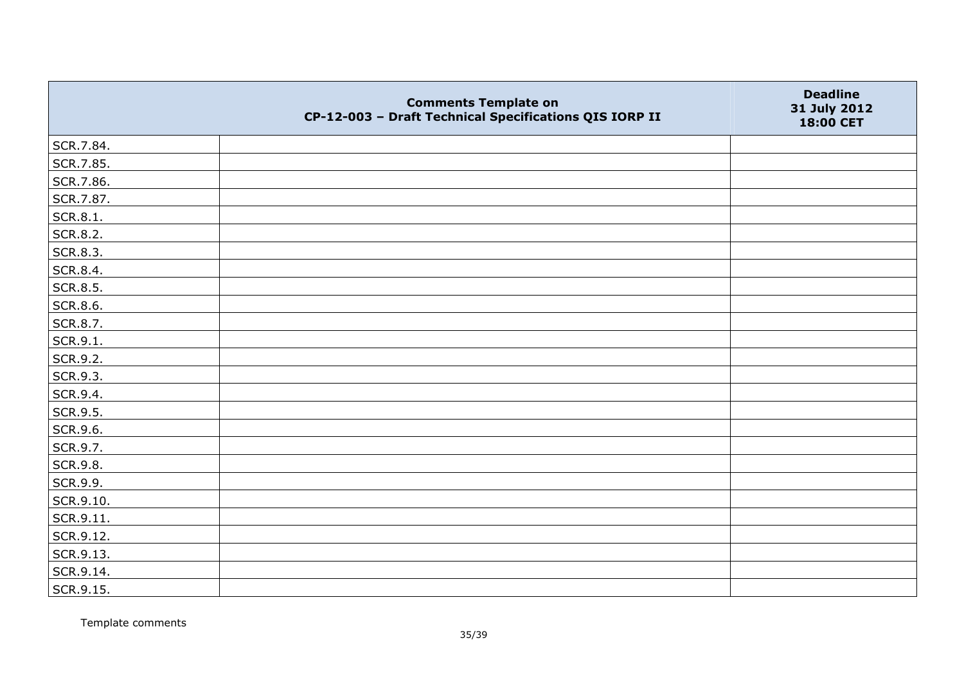|           | <b>Comments Template on</b><br>CP-12-003 - Draft Technical Specifications QIS IORP II | <b>Deadline</b><br>31 July 2012<br>18:00 CET |
|-----------|---------------------------------------------------------------------------------------|----------------------------------------------|
| SCR.7.84. |                                                                                       |                                              |
| SCR.7.85. |                                                                                       |                                              |
| SCR.7.86. |                                                                                       |                                              |
| SCR.7.87. |                                                                                       |                                              |
| SCR.8.1.  |                                                                                       |                                              |
| SCR.8.2.  |                                                                                       |                                              |
| SCR.8.3.  |                                                                                       |                                              |
| SCR.8.4.  |                                                                                       |                                              |
| SCR.8.5.  |                                                                                       |                                              |
| SCR.8.6.  |                                                                                       |                                              |
| SCR.8.7.  |                                                                                       |                                              |
| SCR.9.1.  |                                                                                       |                                              |
| SCR.9.2.  |                                                                                       |                                              |
| SCR.9.3.  |                                                                                       |                                              |
| SCR.9.4.  |                                                                                       |                                              |
| SCR.9.5.  |                                                                                       |                                              |
| SCR.9.6.  |                                                                                       |                                              |
| SCR.9.7.  |                                                                                       |                                              |
| SCR.9.8.  |                                                                                       |                                              |
| SCR.9.9.  |                                                                                       |                                              |
| SCR.9.10. |                                                                                       |                                              |
| SCR.9.11. |                                                                                       |                                              |
| SCR.9.12. |                                                                                       |                                              |
| SCR.9.13. |                                                                                       |                                              |
| SCR.9.14. |                                                                                       |                                              |
| SCR.9.15. |                                                                                       |                                              |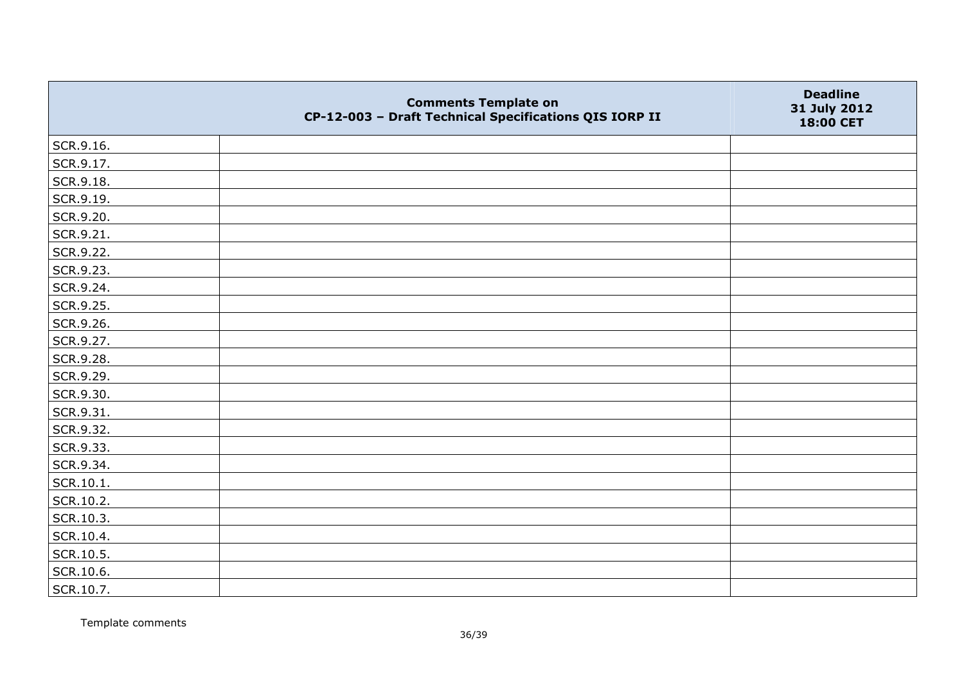|           | <b>Comments Template on</b><br>CP-12-003 - Draft Technical Specifications QIS IORP II | <b>Deadline</b><br>31 July 2012<br>18:00 CET |
|-----------|---------------------------------------------------------------------------------------|----------------------------------------------|
| SCR.9.16. |                                                                                       |                                              |
| SCR.9.17. |                                                                                       |                                              |
| SCR.9.18. |                                                                                       |                                              |
| SCR.9.19. |                                                                                       |                                              |
| SCR.9.20. |                                                                                       |                                              |
| SCR.9.21. |                                                                                       |                                              |
| SCR.9.22. |                                                                                       |                                              |
| SCR.9.23. |                                                                                       |                                              |
| SCR.9.24. |                                                                                       |                                              |
| SCR.9.25. |                                                                                       |                                              |
| SCR.9.26. |                                                                                       |                                              |
| SCR.9.27. |                                                                                       |                                              |
| SCR.9.28. |                                                                                       |                                              |
| SCR.9.29. |                                                                                       |                                              |
| SCR.9.30. |                                                                                       |                                              |
| SCR.9.31. |                                                                                       |                                              |
| SCR.9.32. |                                                                                       |                                              |
| SCR.9.33. |                                                                                       |                                              |
| SCR.9.34. |                                                                                       |                                              |
| SCR.10.1. |                                                                                       |                                              |
| SCR.10.2. |                                                                                       |                                              |
| SCR.10.3. |                                                                                       |                                              |
| SCR.10.4. |                                                                                       |                                              |
| SCR.10.5. |                                                                                       |                                              |
| SCR.10.6. |                                                                                       |                                              |
| SCR.10.7. |                                                                                       |                                              |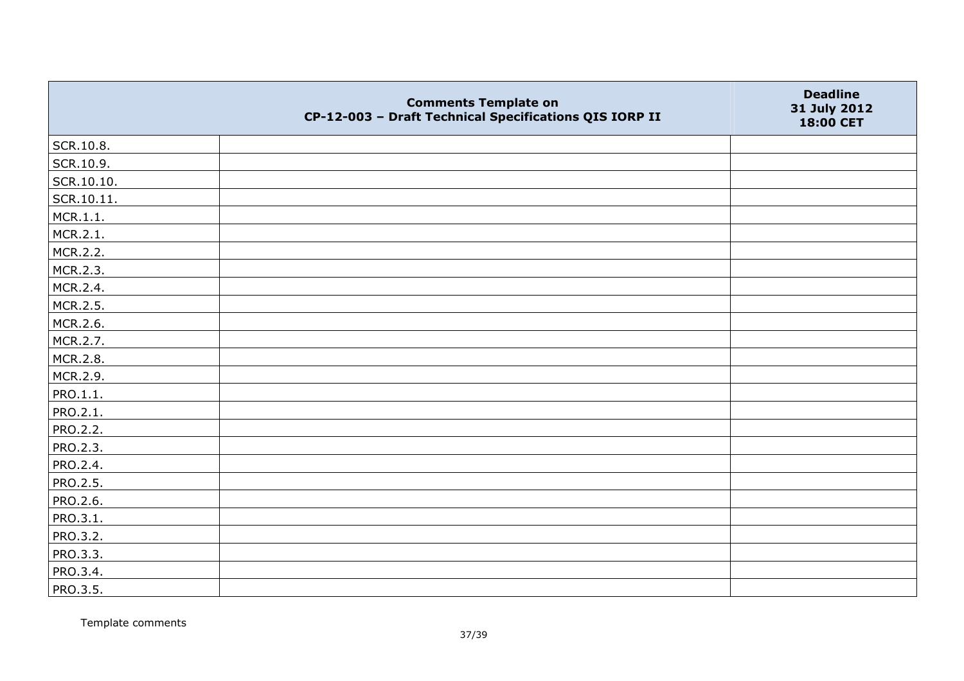|                 | <b>Comments Template on</b><br>CP-12-003 - Draft Technical Specifications QIS IORP II | <b>Deadline</b><br>31 July 2012<br>18:00 CET |
|-----------------|---------------------------------------------------------------------------------------|----------------------------------------------|
| SCR.10.8.       |                                                                                       |                                              |
| SCR.10.9.       |                                                                                       |                                              |
| SCR.10.10.      |                                                                                       |                                              |
| SCR.10.11.      |                                                                                       |                                              |
| MCR.1.1.        |                                                                                       |                                              |
| MCR.2.1.        |                                                                                       |                                              |
| MCR.2.2.        |                                                                                       |                                              |
| MCR.2.3.        |                                                                                       |                                              |
| MCR.2.4.        |                                                                                       |                                              |
| MCR.2.5.        |                                                                                       |                                              |
| MCR.2.6.        |                                                                                       |                                              |
| MCR.2.7.        |                                                                                       |                                              |
| MCR.2.8.        |                                                                                       |                                              |
| MCR.2.9.        |                                                                                       |                                              |
| PRO.1.1.        |                                                                                       |                                              |
| PRO.2.1.        |                                                                                       |                                              |
| PRO.2.2.        |                                                                                       |                                              |
| PRO.2.3.        |                                                                                       |                                              |
| PRO.2.4.        |                                                                                       |                                              |
| <b>PRO.2.5.</b> |                                                                                       |                                              |
| PRO.2.6.        |                                                                                       |                                              |
| PRO.3.1.        |                                                                                       |                                              |
| PRO.3.2.        |                                                                                       |                                              |
| PRO.3.3.        |                                                                                       |                                              |
| PRO.3.4.        |                                                                                       |                                              |
| PRO.3.5.        |                                                                                       |                                              |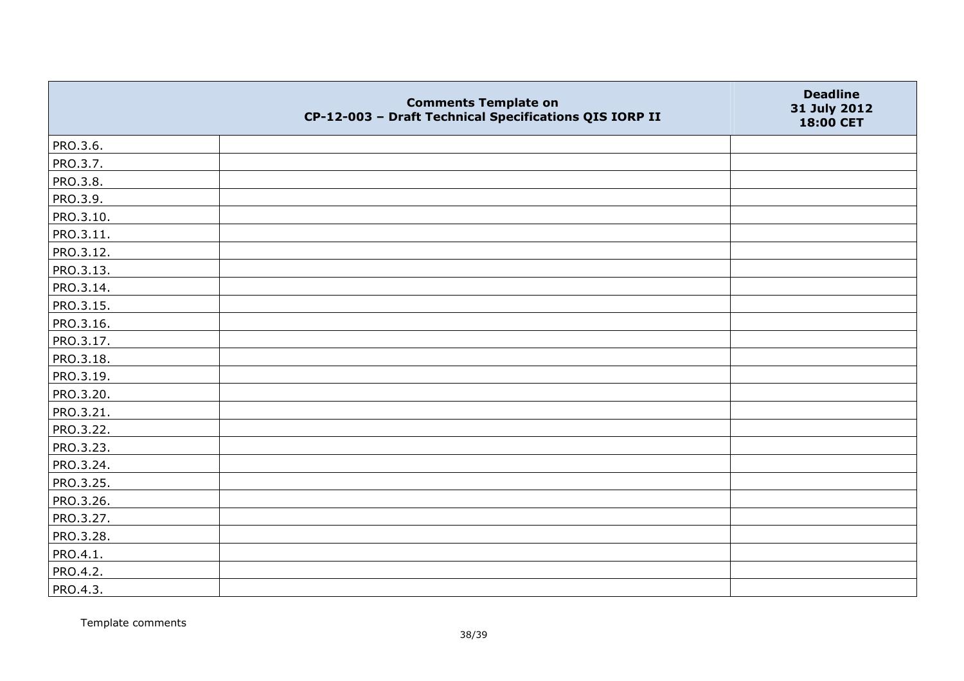|           | <b>Comments Template on</b><br>CP-12-003 - Draft Technical Specifications QIS IORP II | <b>Deadline</b><br>31 July 2012<br>18:00 CET |
|-----------|---------------------------------------------------------------------------------------|----------------------------------------------|
| PRO.3.6.  |                                                                                       |                                              |
| PRO.3.7.  |                                                                                       |                                              |
| PRO.3.8.  |                                                                                       |                                              |
| PRO.3.9.  |                                                                                       |                                              |
| PRO.3.10. |                                                                                       |                                              |
| PRO.3.11. |                                                                                       |                                              |
| PRO.3.12. |                                                                                       |                                              |
| PRO.3.13. |                                                                                       |                                              |
| PRO.3.14. |                                                                                       |                                              |
| PRO.3.15. |                                                                                       |                                              |
| PRO.3.16. |                                                                                       |                                              |
| PRO.3.17. |                                                                                       |                                              |
| PRO.3.18. |                                                                                       |                                              |
| PRO.3.19. |                                                                                       |                                              |
| PRO.3.20. |                                                                                       |                                              |
| PRO.3.21. |                                                                                       |                                              |
| PRO.3.22. |                                                                                       |                                              |
| PRO.3.23. |                                                                                       |                                              |
| PRO.3.24. |                                                                                       |                                              |
| PRO.3.25. |                                                                                       |                                              |
| PRO.3.26. |                                                                                       |                                              |
| PRO.3.27. |                                                                                       |                                              |
| PRO.3.28. |                                                                                       |                                              |
| PRO.4.1.  |                                                                                       |                                              |
| PRO.4.2.  |                                                                                       |                                              |
| PRO.4.3.  |                                                                                       |                                              |